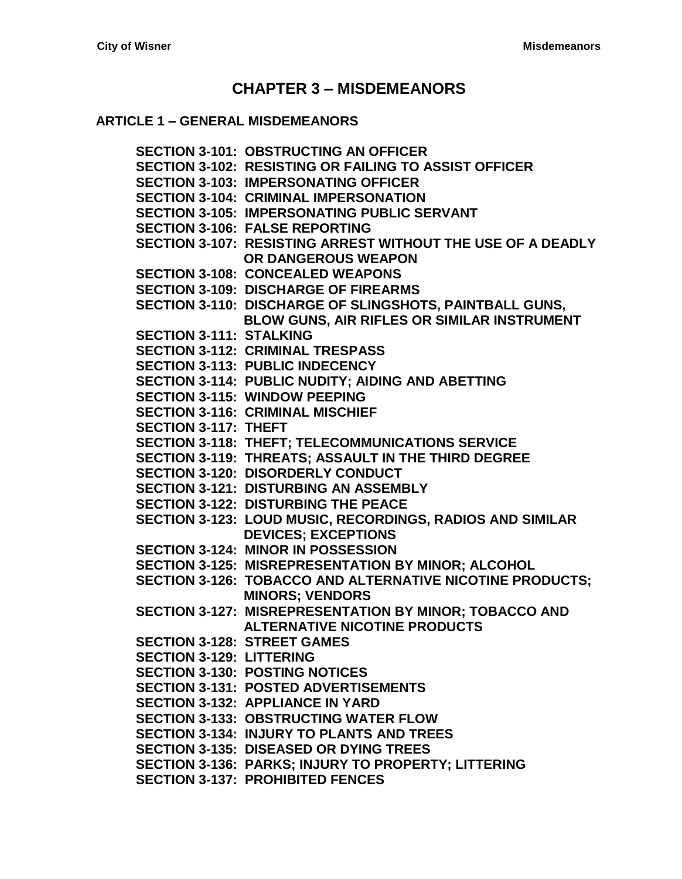# **CHAPTER 3 – [MISDEMEANORS](#page-4-0)**

### **ARTICLE 1 – [GENERAL MISDEMEANORS](#page-4-1)**

**[SECTION 3-101: OBSTRUCTING AN OFFICER](#page-4-2) [SECTION 3-102: RESISTING OR FAILING TO ASSIST OFFICER](#page-4-3) [SECTION 3-103: IMPERSONATING OFFICER](#page-4-4) [SECTION 3-104: CRIMINAL IMPERSONATION](#page-4-5) [SECTION 3-105: IMPERSONATING PUBLIC SERVANT](#page-4-6) [SECTION 3-106: FALSE REPORTING](#page-5-0) [SECTION 3-107: RESISTING ARREST WITHOUT THE USE OF A DEADLY](#page-5-1)  [OR DANGEROUS WEAPON](#page-5-1) [SECTION 3-108: CONCEALED WEAPONS](#page-6-0) [SECTION 3-109: DISCHARGE OF FIREARMS](#page-6-1) [SECTION 3-110: DISCHARGE OF SLINGSHOTS, PAINTBALL](#page-6-2) GUNS, [BLOW GUNS, AIR RIFLES OR SIMILAR INSTRUMENT](#page-6-2) [SECTION 3-111: STALKING](#page-6-3) [SECTION 3-112: CRIMINAL TRESPASS](#page-7-0) [SECTION 3-113: PUBLIC INDECENCY](#page-7-1) [SECTION 3-114: PUBLIC NUDITY; AIDING AND ABETTING](#page-8-0) [SECTION 3-115: WINDOW PEEPING](#page-8-1) [SECTION 3-116: CRIMINAL MISCHIEF](#page-8-2) [SECTION 3-117: THEFT](#page-8-3) [SECTION 3-118: THEFT; TELECOMMUNICATIONS SERVICE](#page-10-0) [SECTION 3-119: THREATS; ASSAULT IN THE THIRD DEGREE](#page-10-1) [SECTION 3-120: DISORDERLY CONDUCT](#page-11-0) [SECTION 3-121: DISTURBING AN ASSEMBLY](#page-11-1) [SECTION 3-122: DISTURBING THE](#page-11-2) PEACE [SECTION 3-123: LOUD MUSIC, RECORDINGS, RADIOS AND](#page-11-3) SIMILAR [DEVICES; EXCEPTIONS](#page-11-3) [SECTION 3-124: MINOR IN POSSESSION](#page-11-4) [SECTION 3-125: MISREPRESENTATION BY MINOR; ALCOHOL](#page-11-5) [SECTION 3-126: TOBACCO AND ALTERNATIVE NICOTINE PRODUCTS;](#page-12-0)  [MINORS; VENDORS](#page-12-0) [SECTION 3-127: MISREPRESENTATION BY](#page-12-1) MINOR; TOBACCO AND [ALTERNATIVE NICOTINE](#page-12-1) PRODUCTS [SECTION 3-128: STREET GAMES](#page-12-2) [SECTION 3-129: LITTERING](#page-12-3) [SECTION 3-130: POSTING NOTICES](#page-13-0) [SECTION 3-131: POSTED ADVERTISEMENTS](#page-13-1) [SECTION 3-132: APPLIANCE IN YARD](#page-13-2) [SECTION 3-133: OBSTRUCTING WATER FLOW](#page-13-3) [SECTION 3-134: INJURY TO PLANTS AND TREES](#page-13-4) [SECTION 3-135: DISEASED OR DYING TREES](#page-13-5) [SECTION 3-136: PARKS; INJURY TO PROPERTY; LITTERING](#page-14-0) [SECTION 3-137: PROHIBITED FENCES](#page-14-1)**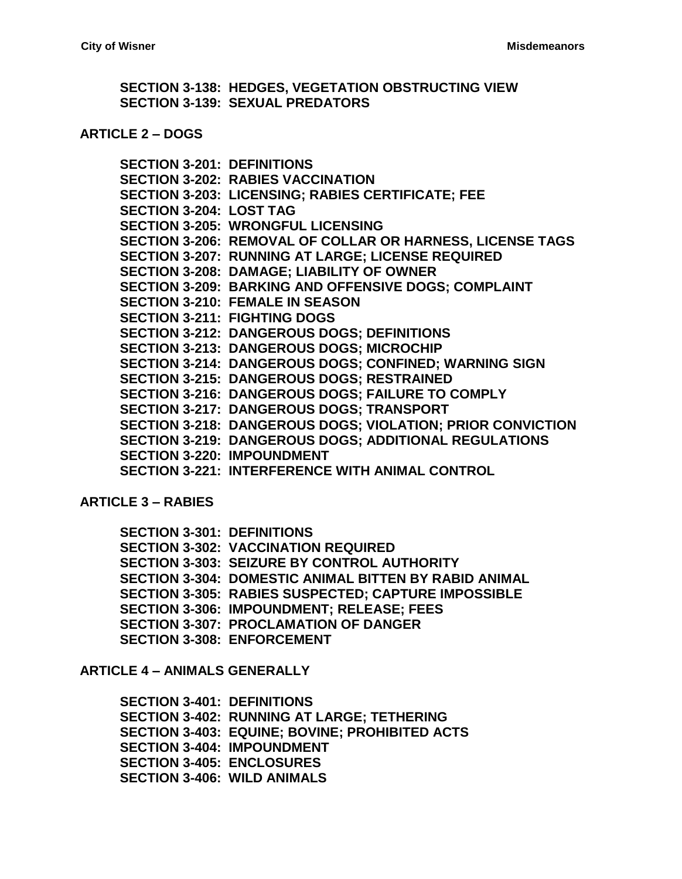**[SECTION 3-138: HEDGES, VEGETATION OBSTRUCTING VIEW](#page-14-2) [SECTION 3-139: SEXUAL PREDATORS](#page-15-0)**

#### **[ARTICLE 2 –](#page-16-0) DOGS**

**[SECTION 3-201: DEFINITIONS](#page-16-1) [SECTION 3-202: RABIES VACCINATION](#page-16-2) [SECTION 3-203: LICENSING; RABIES CERTIFICATE; FEE](#page-16-3) [SECTION 3-204: LOST TAG](#page-17-0) SECTION [3-205: WRONGFUL LICENSING](#page-17-1) [SECTION 3-206: REMOVAL OF COLLAR OR HARNESS, LICENSE TAGS](#page-17-2) [SECTION 3-207: RUNNING AT LARGE; LICENSE REQUIRED](#page-17-3) [SECTION 3-208: DAMAGE; LIABILITY OF OWNER](#page-17-4) [SECTION 3-209: BARKING AND OFFENSIVE DOGS; COMPLAINT](#page-18-0) [SECTION 3-210: FEMALE IN SEASON](#page-18-1) [SECTION 3-211: FIGHTING DOGS](#page-18-2) [SECTION 3-212: DANGEROUS DOGS; DEFINITIONS](#page-18-3) [SECTION 3-213: DANGEROUS DOGS; MICROCHIP](#page-19-0) [SECTION 3-214: DANGEROUS DOGS; CONFINED; WARNING SIGN](#page-19-1) [SECTION 3-215: DANGEROUS DOGS; RESTRAINED](#page-20-0) [SECTION 3-216: DANGEROUS DOGS; FAILURE TO COMPLY](#page-20-1) [SECTION 3-217: DANGEROUS DOGS; TRANSPORT](#page-20-2) [SECTION 3-218: DANGEROUS DOGS; VIOLATION; PRIOR CONVICTION](#page-21-0) [SECTION 3-219: DANGEROUS DOGS; ADDITIONAL REGULATIONS](#page-21-1) [SECTION 3-220: IMPOUNDMENT](#page-21-2) [SECTION 3-221: INTERFERENCE WITH ANIMAL CONTROL](#page-21-3)**

**[ARTICLE 3 –](#page-22-0) RABIES**

**[SECTION 3-301: DEFINITIONS](#page-22-1) [SECTION 3-302: VACCINATION REQUIRED](#page-22-2) [SECTION 3-303: SEIZURE BY CONTROL AUTHORITY](#page-23-0) [SECTION 3-304: DOMESTIC ANIMAL BITTEN BY RABID ANIMAL](#page-24-0) [SECTION 3-305: RABIES SUSPECTED; CAPTURE IMPOSSIBLE](#page-25-0) [SECTION 3-306: IMPOUNDMENT; RELEASE; FEES](#page-25-1) [SECTION 3-307: PROCLAMATION OF DANGER](#page-26-0) [SECTION 3-308: ENFORCEMENT](#page-26-1)**

**ARTICLE 4 – [ANIMALS GENERALLY](#page-28-0)**

**[SECTION 3-401: DEFINITIONS](#page-28-1) [SECTION 3-402: RUNNING AT LARGE; TETHERING](#page-28-2) [SECTION 3-403: EQUINE; BOVINE; PROHIBITED ACTS](#page-29-0) [SECTION 3-404: IMPOUNDMENT](#page-29-1) [SECTION 3-405: ENCLOSURES](#page-30-0) [SECTION 3-406: WILD ANIMALS](#page-30-1)**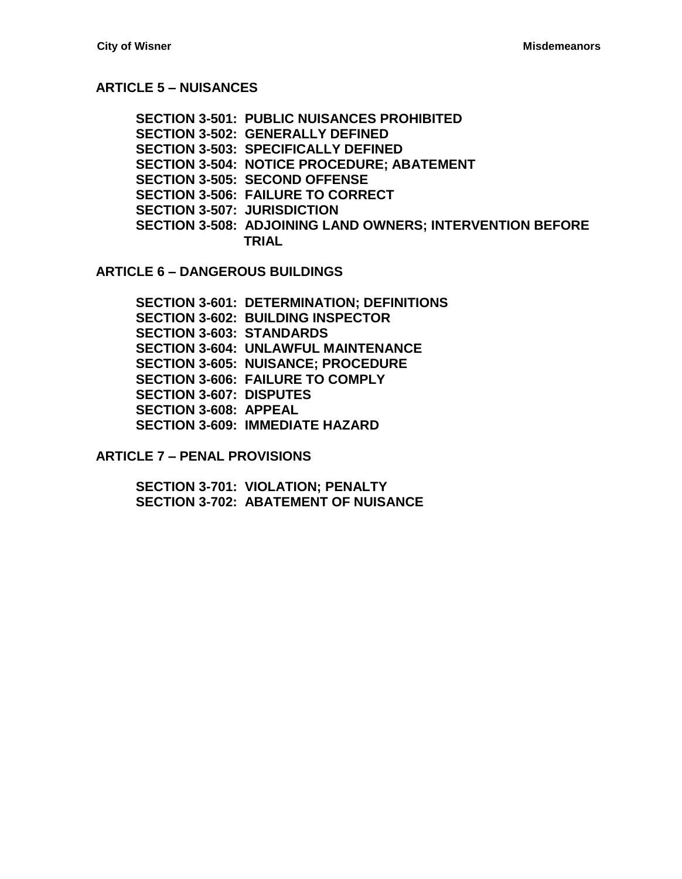# **[ARTICLE 5 –](#page-32-0) NUISANCES**

**[SECTION 3-501: PUBLIC NUISANCES PROHIBITED](#page-32-1) [SECTION 3-502: GENERALLY DEFINED](#page-32-2) [SECTION 3-503: SPECIFICALLY DEFINED](#page-32-3) [SECTION 3-504: NOTICE PROCEDURE; ABATEMENT](#page-35-0) [SECTION 3-505: SECOND OFFENSE](#page-36-0) [SECTION 3-506: FAILURE TO CORRECT](#page-36-1) [SECTION 3-507: JURISDICTION](#page-36-2) [SECTION 3-508: ADJOINING LAND](#page-37-0) OWNERS; INTERVENTION BEFORE [TRIAL](#page-37-0)**

**ARTICLE 6 – [DANGEROUS BUILDINGS](#page-38-0)**

**[SECTION 3-601: DETERMINATION; DEFINITIONS](#page-38-1) [SECTION 3-602: BUILDING INSPECTOR](#page-39-0) [SECTION 3-603: STANDARDS](#page-39-1) [SECTION 3-604: UNLAWFUL MAINTENANCE](#page-40-0) [SECTION 3-605: NUISANCE; PROCEDURE](#page-40-1) [SECTION 3-606: FAILURE TO COMPLY](#page-40-2) SECTION [3-607: DISPUTES](#page-41-0) [SECTION 3-608: APPEAL](#page-41-1) [SECTION 3-609: IMMEDIATE HAZARD](#page-41-2)**

**ARTICLE 7 – [PENAL PROVISIONS](#page-42-0)**

**[SECTION 3-701: VIOLATION; PENALTY](#page-42-1) [SECTION 3-702: ABATEMENT OF NUISANCE](#page-42-2)**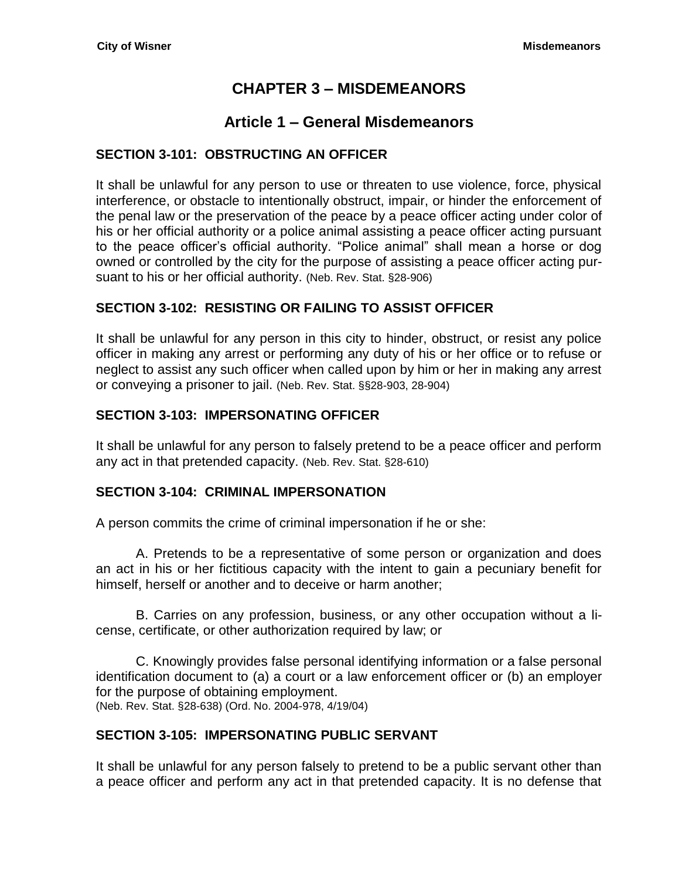# **CHAPTER 3 – MISDEMEANORS**

# **Article 1 – General Misdemeanors**

### <span id="page-4-2"></span><span id="page-4-1"></span><span id="page-4-0"></span>**SECTION 3-101: OBSTRUCTING AN OFFICER**

It shall be unlawful for any person to use or threaten to use violence, force, physical interference, or obstacle to intentionally obstruct, impair, or hinder the enforcement of the penal law or the preservation of the peace by a peace officer acting under color of his or her official authority or a police animal assisting a peace officer acting pursuant to the peace officer's official authority. "Police animal" shall mean a horse or dog owned or controlled by the city for the purpose of assisting a peace officer acting pursuant to his or her official authority. (Neb. Rev. Stat. §28-906)

### <span id="page-4-3"></span>**SECTION 3-102: RESISTING OR FAILING TO ASSIST OFFICER**

It shall be unlawful for any person in this city to hinder, obstruct, or resist any police officer in making any arrest or performing any duty of his or her office or to refuse or neglect to assist any such officer when called upon by him or her in making any arrest or conveying a prisoner to jail. (Neb. Rev. Stat. §§28-903, 28-904)

### <span id="page-4-4"></span>**SECTION 3-103: IMPERSONATING OFFICER**

It shall be unlawful for any person to falsely pretend to be a peace officer and perform any act in that pretended capacity. (Neb. Rev. Stat. §28-610)

### <span id="page-4-5"></span>**SECTION 3-104: CRIMINAL IMPERSONATION**

A person commits the crime of criminal impersonation if he or she:

A. Pretends to be a representative of some person or organization and does an act in his or her fictitious capacity with the intent to gain a pecuniary benefit for himself, herself or another and to deceive or harm another;

B. Carries on any profession, business, or any other occupation without a license, certificate, or other authorization required by law; or

C. Knowingly provides false personal identifying information or a false personal identification document to (a) a court or a law enforcement officer or (b) an employer for the purpose of obtaining employment. (Neb. Rev. Stat. §28-638) (Ord. No. 2004-978, 4/19/04)

### <span id="page-4-6"></span>**SECTION 3-105: IMPERSONATING PUBLIC SERVANT**

It shall be unlawful for any person falsely to pretend to be a public servant other than a peace officer and perform any act in that pretended capacity. It is no defense that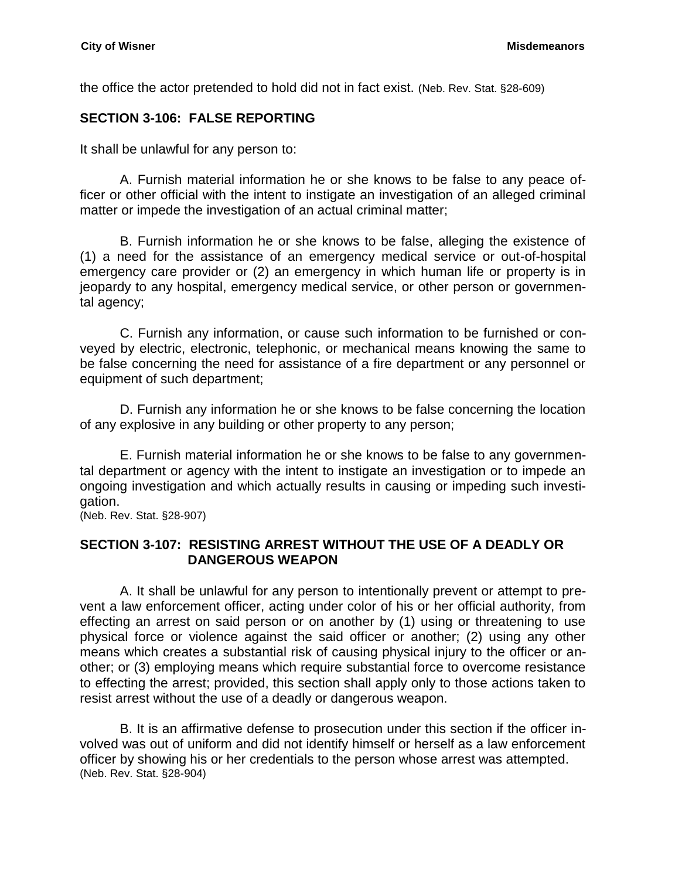the office the actor pretended to hold did not in fact exist. (Neb. Rev. Stat. §28-609)

### <span id="page-5-0"></span>**SECTION 3-106: FALSE REPORTING**

It shall be unlawful for any person to:

A. Furnish material information he or she knows to be false to any peace officer or other official with the intent to instigate an investigation of an alleged criminal matter or impede the investigation of an actual criminal matter;

B. Furnish information he or she knows to be false, alleging the existence of (1) a need for the assistance of an emergency medical service or out-of-hospital emergency care provider or (2) an emergency in which human life or property is in jeopardy to any hospital, emergency medical service, or other person or governmental agency;

C. Furnish any information, or cause such information to be furnished or conveyed by electric, electronic, telephonic, or mechanical means knowing the same to be false concerning the need for assistance of a fire department or any personnel or equipment of such department;

D. Furnish any information he or she knows to be false concerning the location of any explosive in any building or other property to any person;

E. Furnish material information he or she knows to be false to any governmental department or agency with the intent to instigate an investigation or to impede an ongoing investigation and which actually results in causing or impeding such investigation.

(Neb. Rev. Stat. §28-907)

#### <span id="page-5-1"></span>**SECTION 3-107: RESISTING ARREST WITHOUT THE USE OF A DEADLY OR DANGEROUS WEAPON**

A. It shall be unlawful for any person to intentionally prevent or attempt to prevent a law enforcement officer, acting under color of his or her official authority, from effecting an arrest on said person or on another by (1) using or threatening to use physical force or violence against the said officer or another; (2) using any other means which creates a substantial risk of causing physical injury to the officer or another; or (3) employing means which require substantial force to overcome resistance to effecting the arrest; provided, this section shall apply only to those actions taken to resist arrest without the use of a deadly or dangerous weapon.

B. It is an affirmative defense to prosecution under this section if the officer involved was out of uniform and did not identify himself or herself as a law enforcement officer by showing his or her credentials to the person whose arrest was attempted. (Neb. Rev. Stat. §28-904)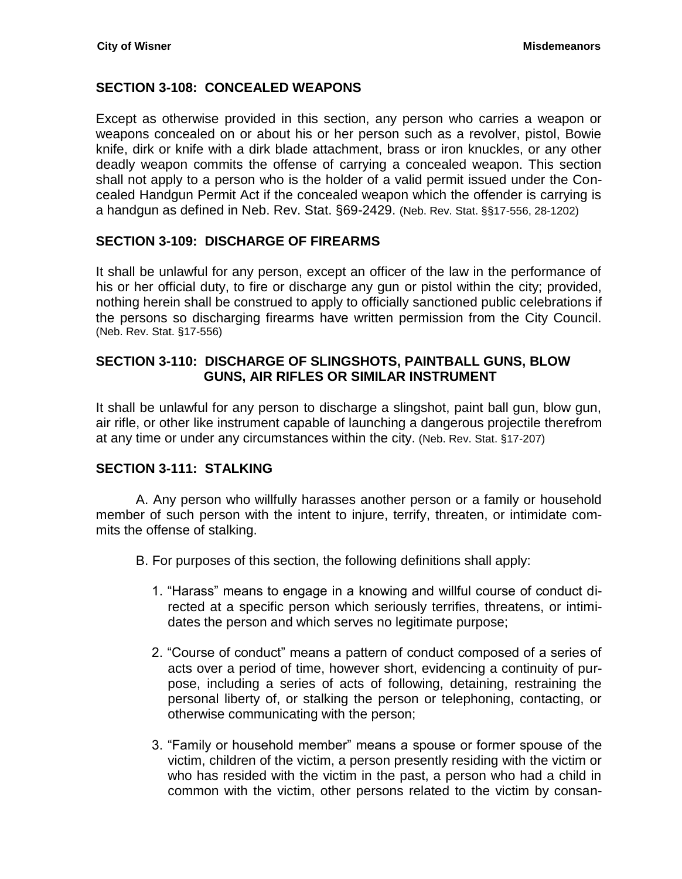# <span id="page-6-0"></span>**SECTION 3-108: CONCEALED WEAPONS**

Except as otherwise provided in this section, any person who carries a weapon or weapons concealed on or about his or her person such as a revolver, pistol, Bowie knife, dirk or knife with a dirk blade attachment, brass or iron knuckles, or any other deadly weapon commits the offense of carrying a concealed weapon. This section shall not apply to a person who is the holder of a valid permit issued under the Concealed Handgun Permit Act if the concealed weapon which the offender is carrying is a handgun as defined in Neb. Rev. Stat. §69-2429. (Neb. Rev. Stat. §§17-556, 28-1202)

### <span id="page-6-1"></span>**SECTION 3-109: DISCHARGE OF FIREARMS**

It shall be unlawful for any person, except an officer of the law in the performance of his or her official duty, to fire or discharge any gun or pistol within the city; provided, nothing herein shall be construed to apply to officially sanctioned public celebrations if the persons so discharging firearms have written permission from the City Council. (Neb. Rev. Stat. §17-556)

### <span id="page-6-2"></span>**SECTION 3-110: DISCHARGE OF SLINGSHOTS, PAINTBALL GUNS, BLOW GUNS, AIR RIFLES OR SIMILAR INSTRUMENT**

It shall be unlawful for any person to discharge a slingshot, paint ball gun, blow gun, air rifle, or other like instrument capable of launching a dangerous projectile therefrom at any time or under any circumstances within the city. (Neb. Rev. Stat. §17-207)

# <span id="page-6-3"></span>**SECTION 3-111: STALKING**

A. Any person who willfully harasses another person or a family or household member of such person with the intent to injure, terrify, threaten, or intimidate commits the offense of stalking.

- B. For purposes of this section, the following definitions shall apply:
	- 1. "Harass" means to engage in a knowing and willful course of conduct directed at a specific person which seriously terrifies, threatens, or intimidates the person and which serves no legitimate purpose;
	- 2. "Course of conduct" means a pattern of conduct composed of a series of acts over a period of time, however short, evidencing a continuity of purpose, including a series of acts of following, detaining, restraining the personal liberty of, or stalking the person or telephoning, contacting, or otherwise communicating with the person;
	- 3. "Family or household member" means a spouse or former spouse of the victim, children of the victim, a person presently residing with the victim or who has resided with the victim in the past, a person who had a child in common with the victim, other persons related to the victim by consan-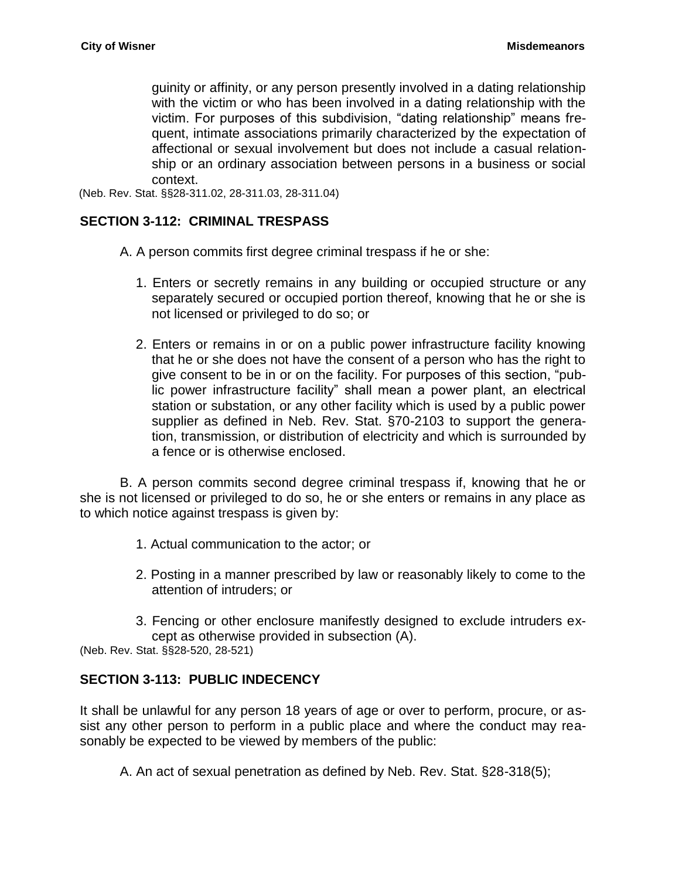guinity or affinity, or any person presently involved in a dating relationship with the victim or who has been involved in a dating relationship with the victim. For purposes of this subdivision, "dating relationship" means frequent, intimate associations primarily characterized by the expectation of affectional or sexual involvement but does not include a casual relationship or an ordinary association between persons in a business or social context.

(Neb. Rev. Stat. §§28-311.02, 28-311.03, 28-311.04)

#### <span id="page-7-0"></span>**SECTION 3-112: CRIMINAL TRESPASS**

- A. A person commits first degree criminal trespass if he or she:
	- 1. Enters or secretly remains in any building or occupied structure or any separately secured or occupied portion thereof, knowing that he or she is not licensed or privileged to do so; or
	- 2. Enters or remains in or on a public power infrastructure facility knowing that he or she does not have the consent of a person who has the right to give consent to be in or on the facility. For purposes of this section, "public power infrastructure facility" shall mean a power plant, an electrical station or substation, or any other facility which is used by a public power supplier as defined in Neb. Rev. Stat. §70-2103 to support the generation, transmission, or distribution of electricity and which is surrounded by a fence or is otherwise enclosed.

B. A person commits second degree criminal trespass if, knowing that he or she is not licensed or privileged to do so, he or she enters or remains in any place as to which notice against trespass is given by:

- 1. Actual communication to the actor; or
- 2. Posting in a manner prescribed by law or reasonably likely to come to the attention of intruders; or
- 3. Fencing or other enclosure manifestly designed to exclude intruders except as otherwise provided in subsection (A).

(Neb. Rev. Stat. §§28-520, 28-521)

### <span id="page-7-1"></span>**SECTION 3-113: PUBLIC INDECENCY**

It shall be unlawful for any person 18 years of age or over to perform, procure, or assist any other person to perform in a public place and where the conduct may reasonably be expected to be viewed by members of the public:

A. An act of sexual penetration as defined by Neb. Rev. Stat. §28-318(5);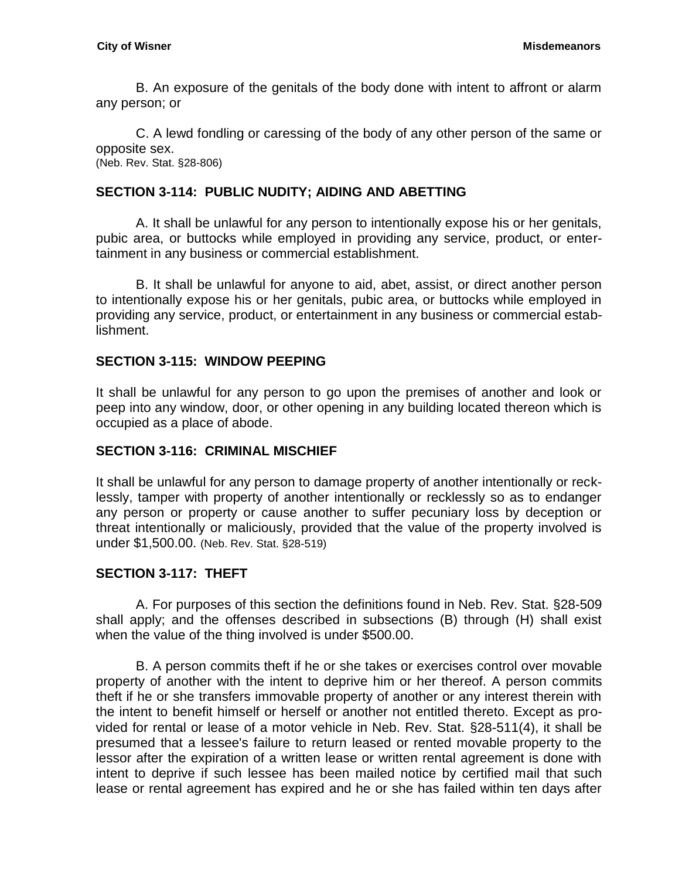B. An exposure of the genitals of the body done with intent to affront or alarm any person; or

C. A lewd fondling or caressing of the body of any other person of the same or opposite sex.

(Neb. Rev. Stat. §28-806)

### <span id="page-8-0"></span>**SECTION 3-114: PUBLIC NUDITY; AIDING AND ABETTING**

A. It shall be unlawful for any person to intentionally expose his or her genitals, pubic area, or buttocks while employed in providing any service, product, or entertainment in any business or commercial establishment.

B. It shall be unlawful for anyone to aid, abet, assist, or direct another person to intentionally expose his or her genitals, pubic area, or buttocks while employed in providing any service, product, or entertainment in any business or commercial establishment.

### <span id="page-8-1"></span>**SECTION 3-115: WINDOW PEEPING**

It shall be unlawful for any person to go upon the premises of another and look or peep into any window, door, or other opening in any building located thereon which is occupied as a place of abode.

### <span id="page-8-2"></span>**SECTION 3-116: CRIMINAL MISCHIEF**

It shall be unlawful for any person to damage property of another intentionally or recklessly, tamper with property of another intentionally or recklessly so as to endanger any person or property or cause another to suffer pecuniary loss by deception or threat intentionally or maliciously, provided that the value of the property involved is under \$1,500.00. (Neb. Rev. Stat. §28-519)

# <span id="page-8-3"></span>**SECTION 3-117: THEFT**

A. For purposes of this section the definitions found in Neb. Rev. Stat. §28-509 shall apply; and the offenses described in subsections (B) through (H) shall exist when the value of the thing involved is under \$500.00.

B. A person commits theft if he or she takes or exercises control over movable property of another with the intent to deprive him or her thereof. A person commits theft if he or she transfers immovable property of another or any interest therein with the intent to benefit himself or herself or another not entitled thereto. Except as provided for rental or lease of a motor vehicle in Neb. Rev. Stat. §28-511(4), it shall be presumed that a lessee's failure to return leased or rented movable property to the lessor after the expiration of a written lease or written rental agreement is done with intent to deprive if such lessee has been mailed notice by certified mail that such lease or rental agreement has expired and he or she has failed within ten days after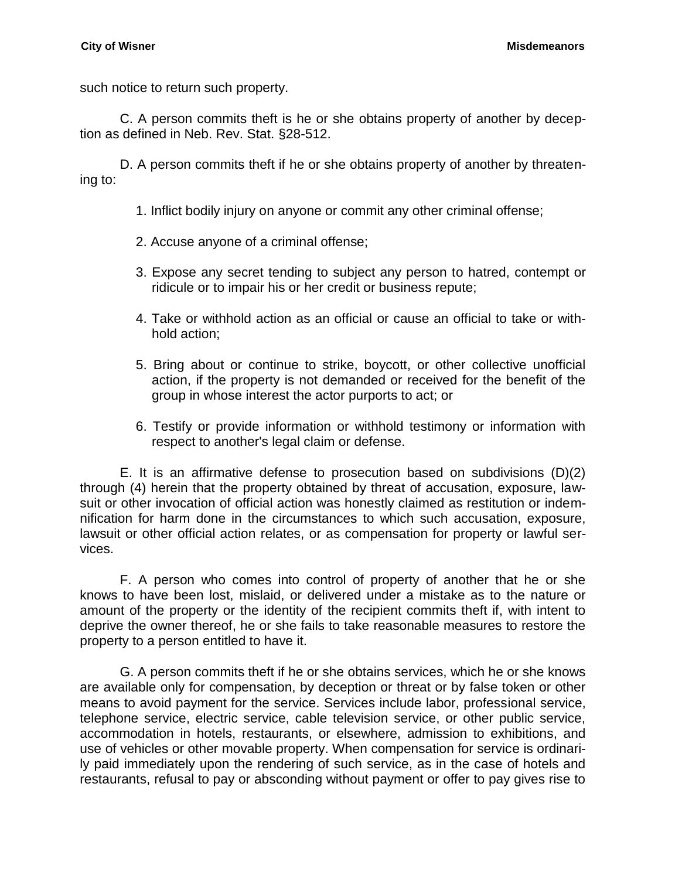such notice to return such property.

C. A person commits theft is he or she obtains property of another by deception as defined in Neb. Rev. Stat. §28-512.

D. A person commits theft if he or she obtains property of another by threatening to:

- 1. Inflict bodily injury on anyone or commit any other criminal offense;
- 2. Accuse anyone of a criminal offense;
- 3. Expose any secret tending to subject any person to hatred, contempt or ridicule or to impair his or her credit or business repute;
- 4. Take or withhold action as an official or cause an official to take or withhold action;
- 5. Bring about or continue to strike, boycott, or other collective unofficial action, if the property is not demanded or received for the benefit of the group in whose interest the actor purports to act; or
- 6. Testify or provide information or withhold testimony or information with respect to another's legal claim or defense.

E. It is an affirmative defense to prosecution based on subdivisions (D)(2) through (4) herein that the property obtained by threat of accusation, exposure, lawsuit or other invocation of official action was honestly claimed as restitution or indemnification for harm done in the circumstances to which such accusation, exposure, lawsuit or other official action relates, or as compensation for property or lawful services.

F. A person who comes into control of property of another that he or she knows to have been lost, mislaid, or delivered under a mistake as to the nature or amount of the property or the identity of the recipient commits theft if, with intent to deprive the owner thereof, he or she fails to take reasonable measures to restore the property to a person entitled to have it.

G. A person commits theft if he or she obtains services, which he or she knows are available only for compensation, by deception or threat or by false token or other means to avoid payment for the service. Services include labor, professional service, telephone service, electric service, cable television service, or other public service, accommodation in hotels, restaurants, or elsewhere, admission to exhibitions, and use of vehicles or other movable property. When compensation for service is ordinarily paid immediately upon the rendering of such service, as in the case of hotels and restaurants, refusal to pay or absconding without payment or offer to pay gives rise to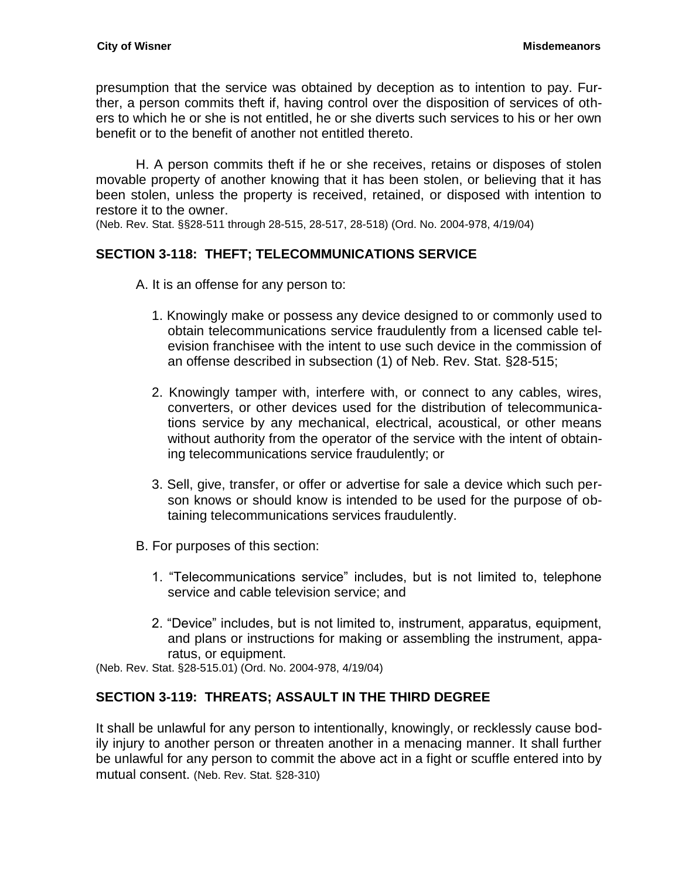presumption that the service was obtained by deception as to intention to pay. Further, a person commits theft if, having control over the disposition of services of others to which he or she is not entitled, he or she diverts such services to his or her own benefit or to the benefit of another not entitled thereto.

H. A person commits theft if he or she receives, retains or disposes of stolen movable property of another knowing that it has been stolen, or believing that it has been stolen, unless the property is received, retained, or disposed with intention to restore it to the owner.

(Neb. Rev. Stat. §§28-511 through 28-515, 28-517, 28-518) (Ord. No. 2004-978, 4/19/04)

# <span id="page-10-0"></span>**SECTION 3-118: THEFT; TELECOMMUNICATIONS SERVICE**

A. It is an offense for any person to:

- 1. Knowingly make or possess any device designed to or commonly used to obtain telecommunications service fraudulently from a licensed cable television franchisee with the intent to use such device in the commission of an offense described in subsection (1) of Neb. Rev. Stat. §28-515;
- 2. Knowingly tamper with, interfere with, or connect to any cables, wires, converters, or other devices used for the distribution of telecommunications service by any mechanical, electrical, acoustical, or other means without authority from the operator of the service with the intent of obtaining telecommunications service fraudulently; or
- 3. Sell, give, transfer, or offer or advertise for sale a device which such person knows or should know is intended to be used for the purpose of obtaining telecommunications services fraudulently.
- B. For purposes of this section:
	- 1. "Telecommunications service" includes, but is not limited to, telephone service and cable television service; and
	- 2. "Device" includes, but is not limited to, instrument, apparatus, equipment, and plans or instructions for making or assembling the instrument, apparatus, or equipment.

(Neb. Rev. Stat. §28-515.01) (Ord. No. 2004-978, 4/19/04)

### <span id="page-10-1"></span>**SECTION 3-119: THREATS; ASSAULT IN THE THIRD DEGREE**

It shall be unlawful for any person to intentionally, knowingly, or recklessly cause bodily injury to another person or threaten another in a menacing manner. It shall further be unlawful for any person to commit the above act in a fight or scuffle entered into by mutual consent. (Neb. Rev. Stat. §28-310)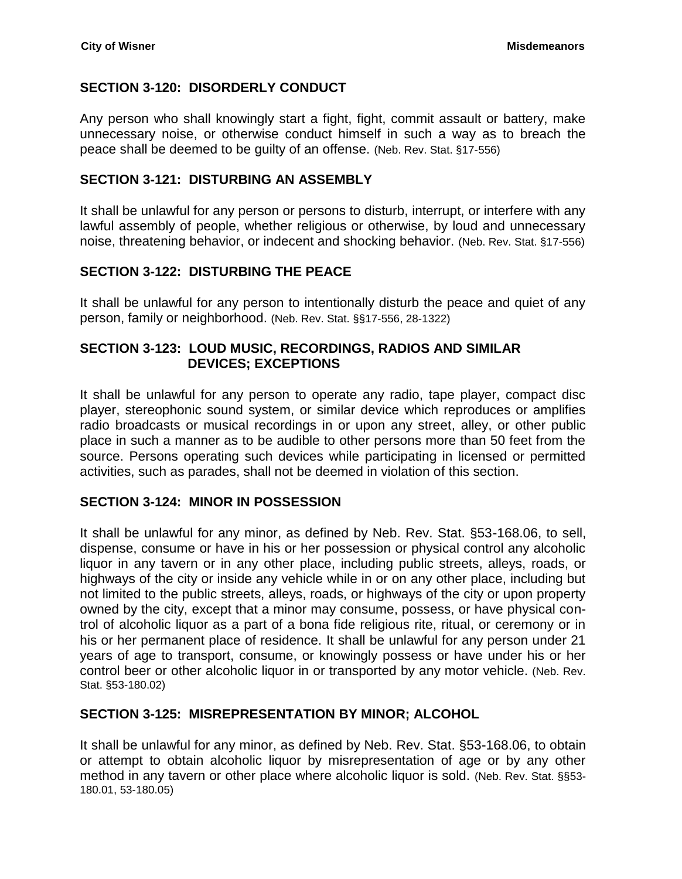### <span id="page-11-0"></span>**SECTION 3-120: DISORDERLY CONDUCT**

Any person who shall knowingly start a fight, fight, commit assault or battery, make unnecessary noise, or otherwise conduct himself in such a way as to breach the peace shall be deemed to be guilty of an offense. (Neb. Rev. Stat. §17-556)

#### <span id="page-11-1"></span>**SECTION 3-121: DISTURBING AN ASSEMBLY**

It shall be unlawful for any person or persons to disturb, interrupt, or interfere with any lawful assembly of people, whether religious or otherwise, by loud and unnecessary noise, threatening behavior, or indecent and shocking behavior. (Neb. Rev. Stat. §17-556)

### <span id="page-11-2"></span>**SECTION 3-122: DISTURBING THE PEACE**

It shall be unlawful for any person to intentionally disturb the peace and quiet of any person, family or neighborhood. (Neb. Rev. Stat. §§17-556, 28-1322)

### <span id="page-11-3"></span>**SECTION 3-123: LOUD MUSIC, RECORDINGS, RADIOS AND SIMILAR DEVICES; EXCEPTIONS**

It shall be unlawful for any person to operate any radio, tape player, compact disc player, stereophonic sound system, or similar device which reproduces or amplifies radio broadcasts or musical recordings in or upon any street, alley, or other public place in such a manner as to be audible to other persons more than 50 feet from the source. Persons operating such devices while participating in licensed or permitted activities, such as parades, shall not be deemed in violation of this section.

### <span id="page-11-4"></span>**SECTION 3-124: MINOR IN POSSESSION**

It shall be unlawful for any minor, as defined by Neb. Rev. Stat. §53-168.06, to sell, dispense, consume or have in his or her possession or physical control any alcoholic liquor in any tavern or in any other place, including public streets, alleys, roads, or highways of the city or inside any vehicle while in or on any other place, including but not limited to the public streets, alleys, roads, or highways of the city or upon property owned by the city, except that a minor may consume, possess, or have physical control of alcoholic liquor as a part of a bona fide religious rite, ritual, or ceremony or in his or her permanent place of residence. It shall be unlawful for any person under 21 years of age to transport, consume, or knowingly possess or have under his or her control beer or other alcoholic liquor in or transported by any motor vehicle. (Neb. Rev. Stat. §53-180.02)

#### <span id="page-11-5"></span>**SECTION 3-125: MISREPRESENTATION BY MINOR; ALCOHOL**

It shall be unlawful for any minor, as defined by Neb. Rev. Stat. §53-168.06, to obtain or attempt to obtain alcoholic liquor by misrepresentation of age or by any other method in any tavern or other place where alcoholic liquor is sold. (Neb. Rev. Stat. §§53- 180.01, 53-180.05)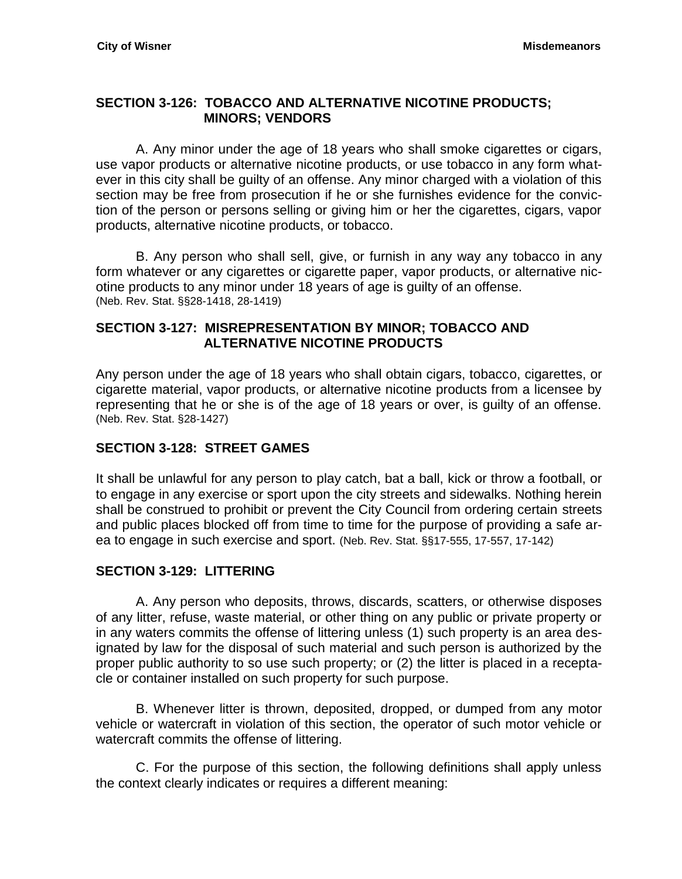### <span id="page-12-0"></span>**SECTION 3-126: TOBACCO AND ALTERNATIVE NICOTINE PRODUCTS; MINORS; VENDORS**

A. Any minor under the age of 18 years who shall smoke cigarettes or cigars, use vapor products or alternative nicotine products, or use tobacco in any form whatever in this city shall be guilty of an offense. Any minor charged with a violation of this section may be free from prosecution if he or she furnishes evidence for the conviction of the person or persons selling or giving him or her the cigarettes, cigars, vapor products, alternative nicotine products, or tobacco.

B. Any person who shall sell, give, or furnish in any way any tobacco in any form whatever or any cigarettes or cigarette paper, vapor products, or alternative nicotine products to any minor under 18 years of age is guilty of an offense. (Neb. Rev. Stat. §§28-1418, 28-1419)

### <span id="page-12-1"></span>**SECTION 3-127: MISREPRESENTATION BY MINOR; TOBACCO AND ALTERNATIVE NICOTINE PRODUCTS**

Any person under the age of 18 years who shall obtain cigars, tobacco, cigarettes, or cigarette material, vapor products, or alternative nicotine products from a licensee by representing that he or she is of the age of 18 years or over, is guilty of an offense. (Neb. Rev. Stat. §28-1427)

# <span id="page-12-2"></span>**SECTION 3-128: STREET GAMES**

It shall be unlawful for any person to play catch, bat a ball, kick or throw a football, or to engage in any exercise or sport upon the city streets and sidewalks. Nothing herein shall be construed to prohibit or prevent the City Council from ordering certain streets and public places blocked off from time to time for the purpose of providing a safe area to engage in such exercise and sport. (Neb. Rev. Stat. §§17-555, 17-557, 17-142)

### <span id="page-12-3"></span>**SECTION 3-129: LITTERING**

A. Any person who deposits, throws, discards, scatters, or otherwise disposes of any litter, refuse, waste material, or other thing on any public or private property or in any waters commits the offense of littering unless (1) such property is an area designated by law for the disposal of such material and such person is authorized by the proper public authority to so use such property; or (2) the litter is placed in a receptacle or container installed on such property for such purpose.

B. Whenever litter is thrown, deposited, dropped, or dumped from any motor vehicle or watercraft in violation of this section, the operator of such motor vehicle or watercraft commits the offense of littering.

C. For the purpose of this section, the following definitions shall apply unless the context clearly indicates or requires a different meaning: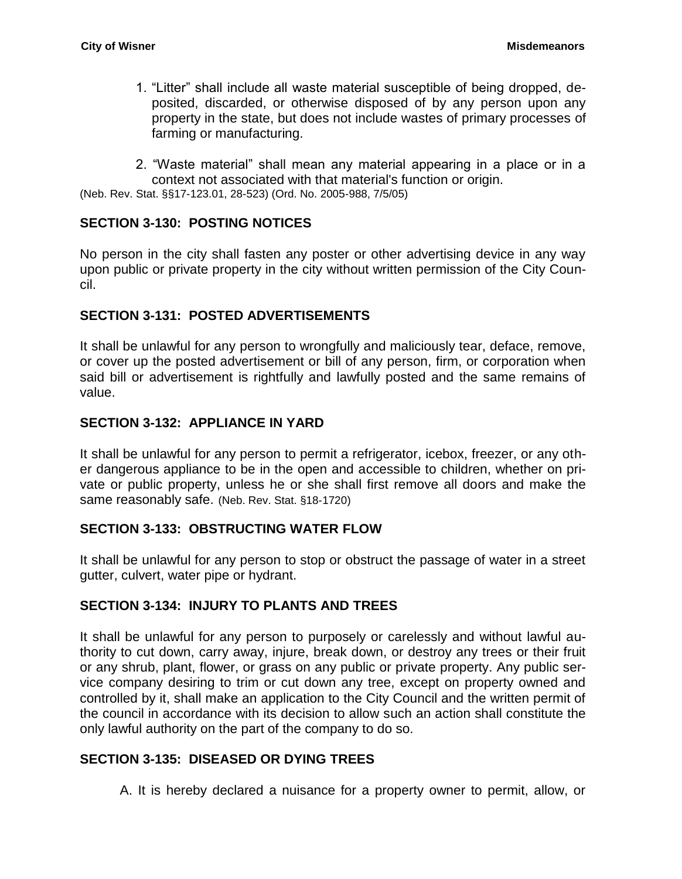- 1. "Litter" shall include all waste material susceptible of being dropped, deposited, discarded, or otherwise disposed of by any person upon any property in the state, but does not include wastes of primary processes of farming or manufacturing.
- 2. "Waste material" shall mean any material appearing in a place or in a context not associated with that material's function or origin.

(Neb. Rev. Stat. §§17-123.01, 28-523) (Ord. No. 2005-988, 7/5/05)

#### <span id="page-13-0"></span>**SECTION 3-130: POSTING NOTICES**

No person in the city shall fasten any poster or other advertising device in any way upon public or private property in the city without written permission of the City Council.

#### <span id="page-13-1"></span>**SECTION 3-131: POSTED ADVERTISEMENTS**

It shall be unlawful for any person to wrongfully and maliciously tear, deface, remove, or cover up the posted advertisement or bill of any person, firm, or corporation when said bill or advertisement is rightfully and lawfully posted and the same remains of value.

#### <span id="page-13-2"></span>**SECTION 3-132: APPLIANCE IN YARD**

It shall be unlawful for any person to permit a refrigerator, icebox, freezer, or any other dangerous appliance to be in the open and accessible to children, whether on private or public property, unless he or she shall first remove all doors and make the same reasonably safe. (Neb. Rev. Stat. §18-1720)

#### <span id="page-13-3"></span>**SECTION 3-133: OBSTRUCTING WATER FLOW**

It shall be unlawful for any person to stop or obstruct the passage of water in a street gutter, culvert, water pipe or hydrant.

### <span id="page-13-4"></span>**SECTION 3-134: INJURY TO PLANTS AND TREES**

It shall be unlawful for any person to purposely or carelessly and without lawful authority to cut down, carry away, injure, break down, or destroy any trees or their fruit or any shrub, plant, flower, or grass on any public or private property. Any public service company desiring to trim or cut down any tree, except on property owned and controlled by it, shall make an application to the City Council and the written permit of the council in accordance with its decision to allow such an action shall constitute the only lawful authority on the part of the company to do so.

#### <span id="page-13-5"></span>**SECTION 3-135: DISEASED OR DYING TREES**

A. It is hereby declared a nuisance for a property owner to permit, allow, or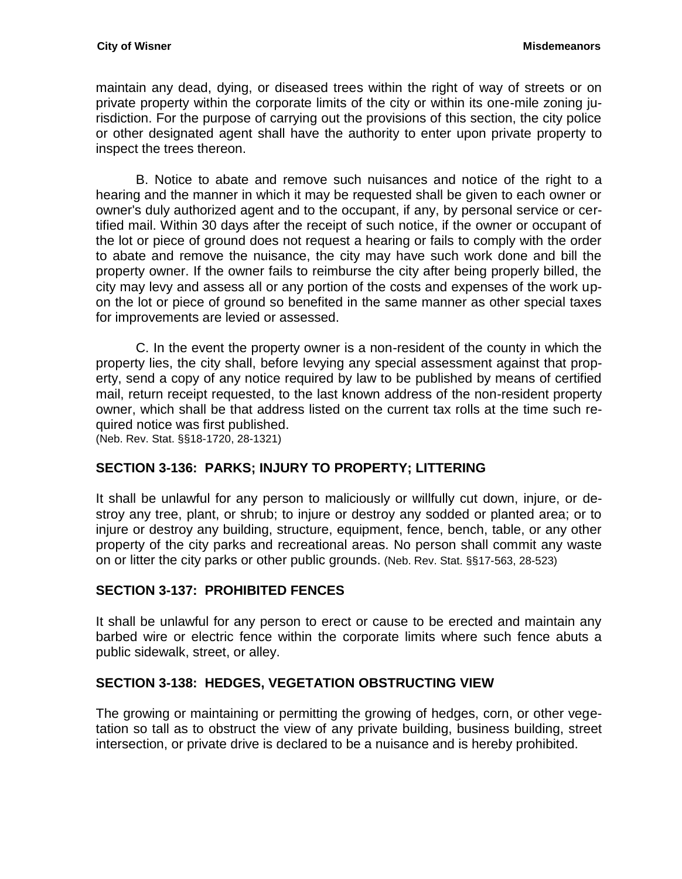maintain any dead, dying, or diseased trees within the right of way of streets or on private property within the corporate limits of the city or within its one-mile zoning jurisdiction. For the purpose of carrying out the provisions of this section, the city police or other designated agent shall have the authority to enter upon private property to inspect the trees thereon.

B. Notice to abate and remove such nuisances and notice of the right to a hearing and the manner in which it may be requested shall be given to each owner or owner's duly authorized agent and to the occupant, if any, by personal service or certified mail. Within 30 days after the receipt of such notice, if the owner or occupant of the lot or piece of ground does not request a hearing or fails to comply with the order to abate and remove the nuisance, the city may have such work done and bill the property owner. If the owner fails to reimburse the city after being properly billed, the city may levy and assess all or any portion of the costs and expenses of the work upon the lot or piece of ground so benefited in the same manner as other special taxes for improvements are levied or assessed.

C. In the event the property owner is a non-resident of the county in which the property lies, the city shall, before levying any special assessment against that property, send a copy of any notice required by law to be published by means of certified mail, return receipt requested, to the last known address of the non-resident property owner, which shall be that address listed on the current tax rolls at the time such required notice was first published.

(Neb. Rev. Stat. §§18-1720, 28-1321)

### <span id="page-14-0"></span>**SECTION 3-136: PARKS; INJURY TO PROPERTY; LITTERING**

It shall be unlawful for any person to maliciously or willfully cut down, injure, or destroy any tree, plant, or shrub; to injure or destroy any sodded or planted area; or to injure or destroy any building, structure, equipment, fence, bench, table, or any other property of the city parks and recreational areas. No person shall commit any waste on or litter the city parks or other public grounds. (Neb. Rev. Stat. §§17-563, 28-523)

# <span id="page-14-1"></span>**SECTION 3-137: PROHIBITED FENCES**

It shall be unlawful for any person to erect or cause to be erected and maintain any barbed wire or electric fence within the corporate limits where such fence abuts a public sidewalk, street, or alley.

# <span id="page-14-2"></span>**SECTION 3-138: HEDGES, VEGETATION OBSTRUCTING VIEW**

The growing or maintaining or permitting the growing of hedges, corn, or other vegetation so tall as to obstruct the view of any private building, business building, street intersection, or private drive is declared to be a nuisance and is hereby prohibited.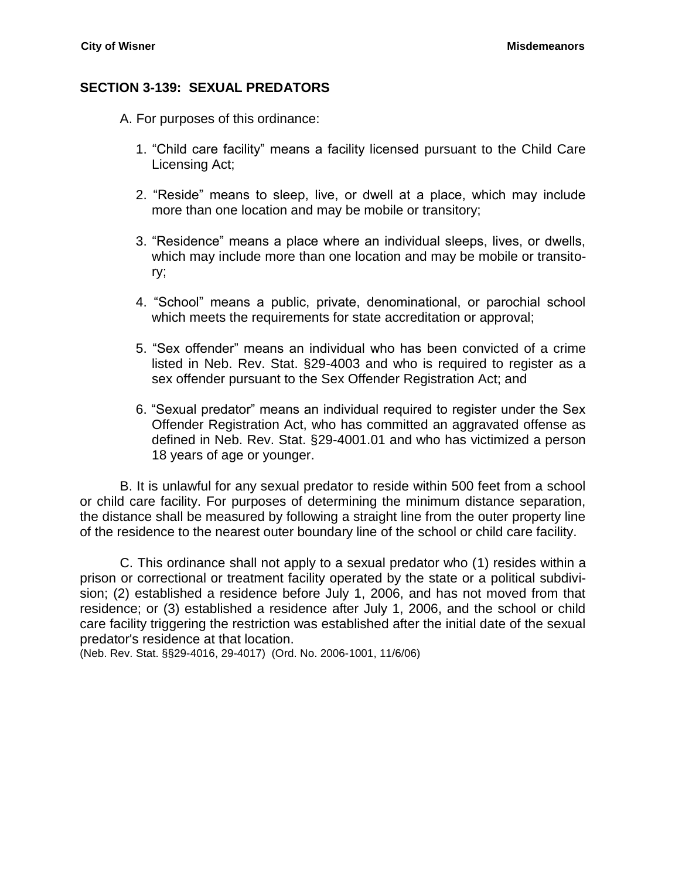#### <span id="page-15-0"></span>**SECTION 3-139: SEXUAL PREDATORS**

- A. For purposes of this ordinance:
	- 1. "Child care facility" means a facility licensed pursuant to the Child Care Licensing Act;
	- 2. "Reside" means to sleep, live, or dwell at a place, which may include more than one location and may be mobile or transitory;
	- 3. "Residence" means a place where an individual sleeps, lives, or dwells, which may include more than one location and may be mobile or transitory;
	- 4. "School" means a public, private, denominational, or parochial school which meets the requirements for state accreditation or approval;
	- 5. "Sex offender" means an individual who has been convicted of a crime listed in Neb. Rev. Stat. §29-4003 and who is required to register as a sex offender pursuant to the Sex Offender Registration Act; and
	- 6. "Sexual predator" means an individual required to register under the Sex Offender Registration Act, who has committed an aggravated offense as defined in Neb. Rev. Stat. [§29-4001.01](http://www.lawriter.net/NLLXML/getcode.asp?userid=PRODSG&interface=CM&statecd=NE&codesec=29-4001.01&sessionyr=2009SP1&Title=29&datatype=S&noheader=0&nojumpmsg=0) and who has victimized a person 18 years of age or younger.

B. It is unlawful for any sexual predator to reside within 500 feet from a school or child care facility. For purposes of determining the minimum distance separation, the distance shall be measured by following a straight line from the outer property line of the residence to the nearest outer boundary line of the school or child care facility.

C. This ordinance shall not apply to a sexual predator who (1) resides within a prison or correctional or treatment facility operated by the state or a political subdivision; (2) established a residence before July 1, 2006, and has not moved from that residence; or (3) established a residence after July 1, 2006, and the school or child care facility triggering the restriction was established after the initial date of the sexual predator's residence at that location.

(Neb. Rev. Stat. §§29-4016, 29-4017) (Ord. No. 2006-1001, 11/6/06)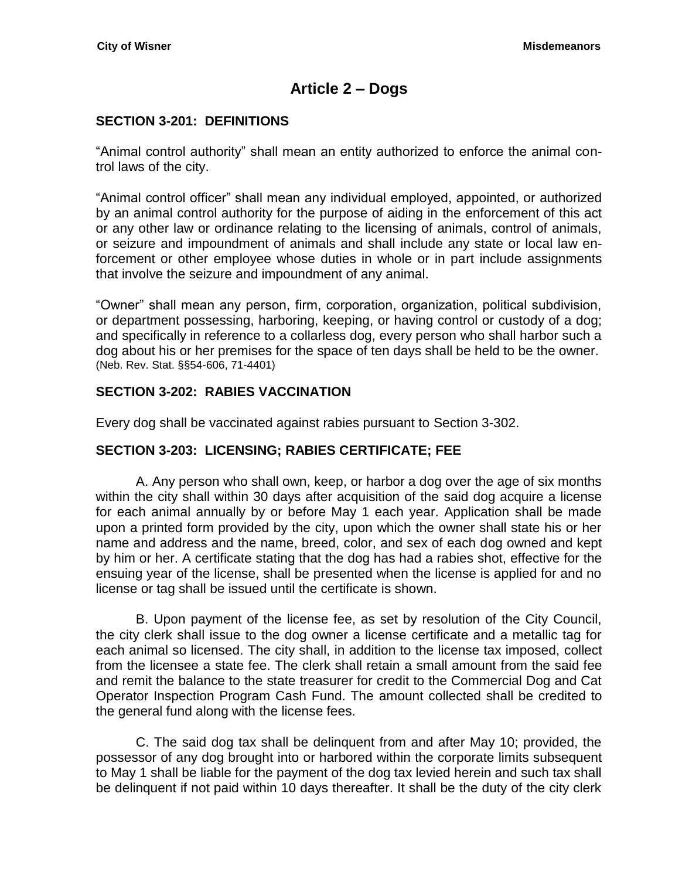# **Article 2 – Dogs**

### <span id="page-16-1"></span><span id="page-16-0"></span>**SECTION 3-201: DEFINITIONS**

"Animal control authority" shall mean an entity authorized to enforce the animal control laws of the city.

"Animal control officer" shall mean any individual employed, appointed, or authorized by an animal control authority for the purpose of aiding in the enforcement of this act or any other law or ordinance relating to the licensing of animals, control of animals, or seizure and impoundment of animals and shall include any state or local law enforcement or other employee whose duties in whole or in part include assignments that involve the seizure and impoundment of any animal.

"Owner" shall mean any person, firm, corporation, organization, political subdivision, or department possessing, harboring, keeping, or having control or custody of a dog; and specifically in reference to a collarless dog, every person who shall harbor such a dog about his or her premises for the space of ten days shall be held to be the owner. (Neb. Rev. Stat. §§54-606, 71-4401)

### <span id="page-16-2"></span>**SECTION 3-202: RABIES VACCINATION**

Every dog shall be vaccinated against rabies pursuant to Section 3-302.

# <span id="page-16-3"></span>**SECTION 3-203: LICENSING; RABIES CERTIFICATE; FEE**

A. Any person who shall own, keep, or harbor a dog over the age of six months within the city shall within 30 days after acquisition of the said dog acquire a license for each animal annually by or before May 1 each year. Application shall be made upon a printed form provided by the city, upon which the owner shall state his or her name and address and the name, breed, color, and sex of each dog owned and kept by him or her. A certificate stating that the dog has had a rabies shot, effective for the ensuing year of the license, shall be presented when the license is applied for and no license or tag shall be issued until the certificate is shown.

B. Upon payment of the license fee, as set by resolution of the City Council, the city clerk shall issue to the dog owner a license certificate and a metallic tag for each animal so licensed. The city shall, in addition to the license tax imposed, collect from the licensee a state fee. The clerk shall retain a small amount from the said fee and remit the balance to the state treasurer for credit to the Commercial Dog and Cat Operator Inspection Program Cash Fund. The amount collected shall be credited to the general fund along with the license fees.

C. The said dog tax shall be delinquent from and after May 10; provided, the possessor of any dog brought into or harbored within the corporate limits subsequent to May 1 shall be liable for the payment of the dog tax levied herein and such tax shall be delinquent if not paid within 10 days thereafter. It shall be the duty of the city clerk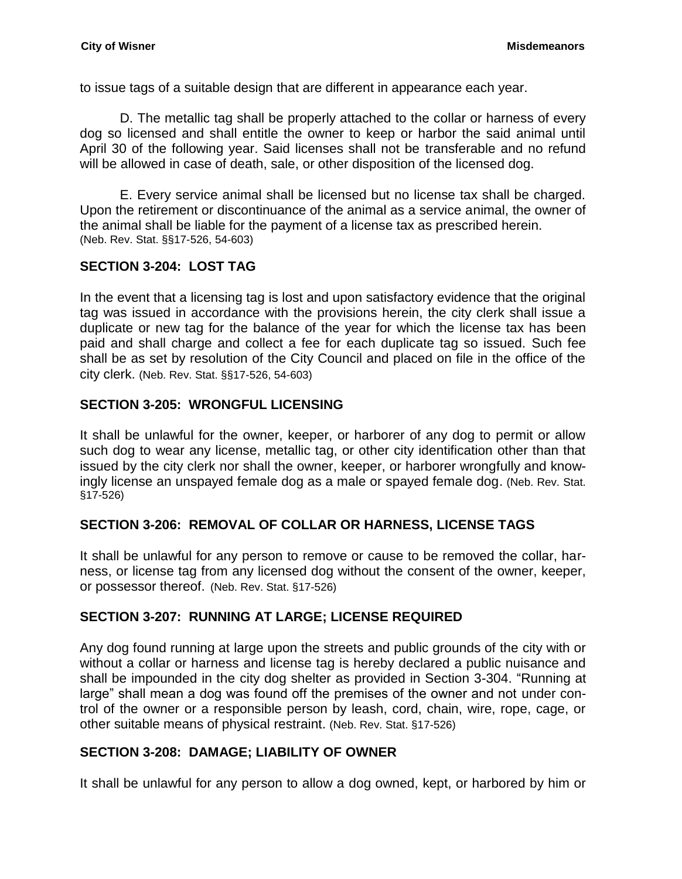to issue tags of a suitable design that are different in appearance each year.

D. The metallic tag shall be properly attached to the collar or harness of every dog so licensed and shall entitle the owner to keep or harbor the said animal until April 30 of the following year. Said licenses shall not be transferable and no refund will be allowed in case of death, sale, or other disposition of the licensed dog.

E. Every service animal shall be licensed but no license tax shall be charged. Upon the retirement or discontinuance of the animal as a service animal, the owner of the animal shall be liable for the payment of a license tax as prescribed herein. (Neb. Rev. Stat. §§17-526, 54-603)

### <span id="page-17-0"></span>**SECTION 3-204: LOST TAG**

In the event that a licensing tag is lost and upon satisfactory evidence that the original tag was issued in accordance with the provisions herein, the city clerk shall issue a duplicate or new tag for the balance of the year for which the license tax has been paid and shall charge and collect a fee for each duplicate tag so issued. Such fee shall be as set by resolution of the City Council and placed on file in the office of the city clerk. (Neb. Rev. Stat. §§17-526, 54-603)

### <span id="page-17-1"></span>**SECTION 3-205: WRONGFUL LICENSING**

It shall be unlawful for the owner, keeper, or harborer of any dog to permit or allow such dog to wear any license, metallic tag, or other city identification other than that issued by the city clerk nor shall the owner, keeper, or harborer wrongfully and knowingly license an unspayed female dog as a male or spayed female dog. (Neb. Rev. Stat. §17-526)

### <span id="page-17-2"></span>**SECTION 3-206: REMOVAL OF COLLAR OR HARNESS, LICENSE TAGS**

It shall be unlawful for any person to remove or cause to be removed the collar, harness, or license tag from any licensed dog without the consent of the owner, keeper, or possessor thereof. (Neb. Rev. Stat. §17-526)

# <span id="page-17-3"></span>**SECTION 3-207: RUNNING AT LARGE; LICENSE REQUIRED**

Any dog found running at large upon the streets and public grounds of the city with or without a collar or harness and license tag is hereby declared a public nuisance and shall be impounded in the city dog shelter as provided in Section 3-304. "Running at large" shall mean a dog was found off the premises of the owner and not under control of the owner or a responsible person by leash, cord, chain, wire, rope, cage, or other suitable means of physical restraint. (Neb. Rev. Stat. §17-526)

### <span id="page-17-4"></span>**SECTION 3-208: DAMAGE; LIABILITY OF OWNER**

It shall be unlawful for any person to allow a dog owned, kept, or harbored by him or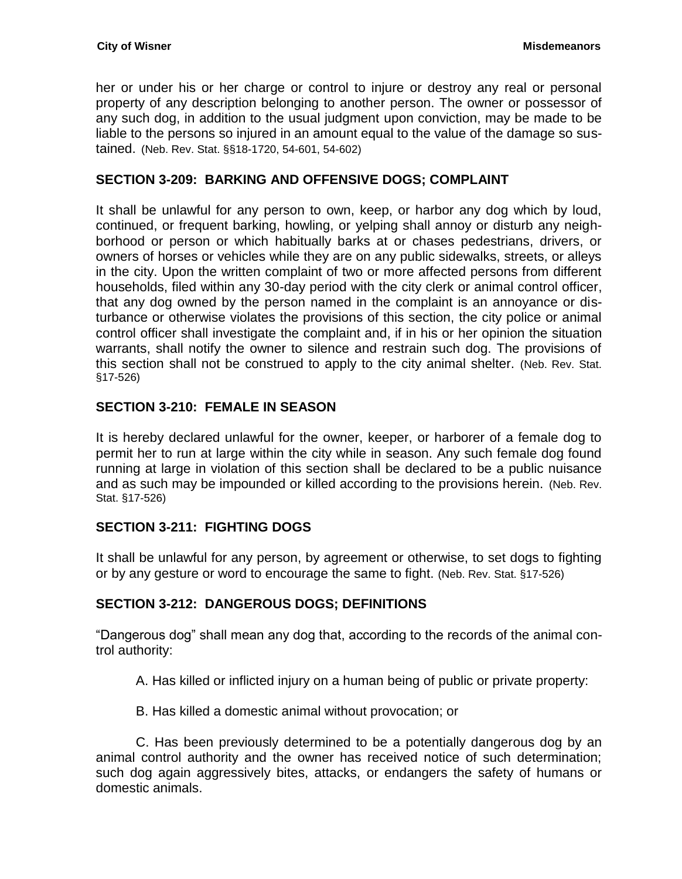her or under his or her charge or control to injure or destroy any real or personal property of any description belonging to another person. The owner or possessor of any such dog, in addition to the usual judgment upon conviction, may be made to be liable to the persons so injured in an amount equal to the value of the damage so sustained. (Neb. Rev. Stat. §§18-1720, 54-601, 54-602)

### <span id="page-18-0"></span>**SECTION 3-209: BARKING AND OFFENSIVE DOGS; COMPLAINT**

It shall be unlawful for any person to own, keep, or harbor any dog which by loud, continued, or frequent barking, howling, or yelping shall annoy or disturb any neighborhood or person or which habitually barks at or chases pedestrians, drivers, or owners of horses or vehicles while they are on any public sidewalks, streets, or alleys in the city. Upon the written complaint of two or more affected persons from different households, filed within any 30-day period with the city clerk or animal control officer, that any dog owned by the person named in the complaint is an annoyance or disturbance or otherwise violates the provisions of this section, the city police or animal control officer shall investigate the complaint and, if in his or her opinion the situation warrants, shall notify the owner to silence and restrain such dog. The provisions of this section shall not be construed to apply to the city animal shelter. (Neb. Rev. Stat. §17-526)

### <span id="page-18-1"></span>**SECTION 3-210: FEMALE IN SEASON**

It is hereby declared unlawful for the owner, keeper, or harborer of a female dog to permit her to run at large within the city while in season. Any such female dog found running at large in violation of this section shall be declared to be a public nuisance and as such may be impounded or killed according to the provisions herein. (Neb. Rev. Stat. §17-526)

# <span id="page-18-2"></span>**SECTION 3-211: FIGHTING DOGS**

It shall be unlawful for any person, by agreement or otherwise, to set dogs to fighting or by any gesture or word to encourage the same to fight. (Neb. Rev. Stat. §17-526)

# <span id="page-18-3"></span>**SECTION 3-212: DANGEROUS DOGS; DEFINITIONS**

"Dangerous dog" shall mean any dog that, according to the records of the animal control authority:

A. Has killed or inflicted injury on a human being of public or private property:

B. Has killed a domestic animal without provocation; or

C. Has been previously determined to be a potentially dangerous dog by an animal control authority and the owner has received notice of such determination; such dog again aggressively bites, attacks, or endangers the safety of humans or domestic animals.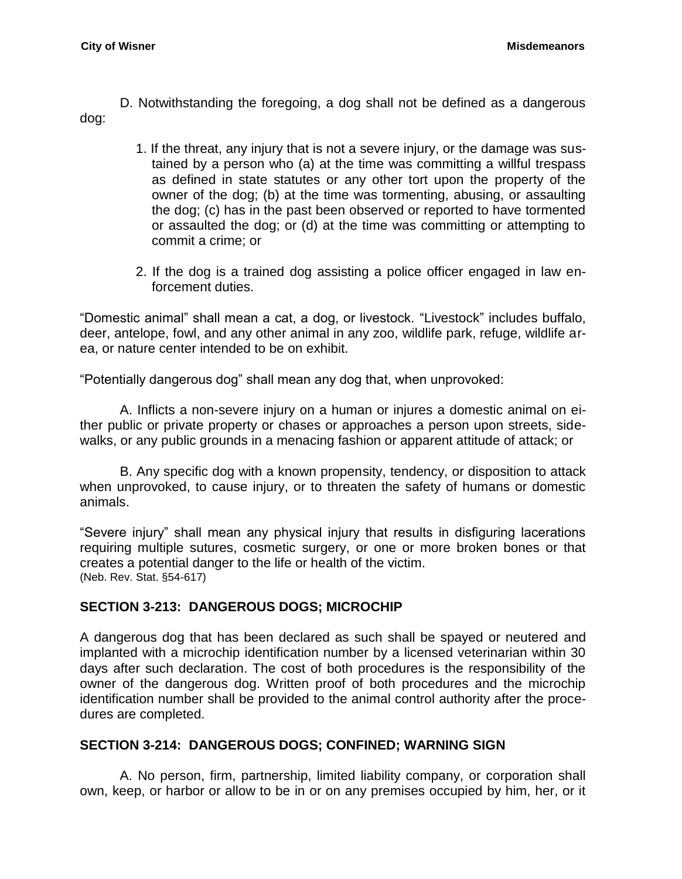D. Notwithstanding the foregoing, a dog shall not be defined as a dangerous dog:

- 1. If the threat, any injury that is not a severe injury, or the damage was sustained by a person who (a) at the time was committing a willful trespass as defined in state statutes or any other tort upon the property of the owner of the dog; (b) at the time was tormenting, abusing, or assaulting the dog; (c) has in the past been observed or reported to have tormented or assaulted the dog; or (d) at the time was committing or attempting to commit a crime; or
- 2. If the dog is a trained dog assisting a police officer engaged in law enforcement duties.

"Domestic animal" shall mean a cat, a dog, or livestock. "Livestock" includes buffalo, deer, antelope, fowl, and any other animal in any zoo, wildlife park, refuge, wildlife area, or nature center intended to be on exhibit.

"Potentially dangerous dog" shall mean any dog that, when unprovoked:

A. Inflicts a non-severe injury on a human or injures a domestic animal on either public or private property or chases or approaches a person upon streets, sidewalks, or any public grounds in a menacing fashion or apparent attitude of attack; or

B. Any specific dog with a known propensity, tendency, or disposition to attack when unprovoked, to cause injury, or to threaten the safety of humans or domestic animals.

"Severe injury" shall mean any physical injury that results in disfiguring lacerations requiring multiple sutures, cosmetic surgery, or one or more broken bones or that creates a potential danger to the life or health of the victim. (Neb. Rev. Stat. §54-617)

### <span id="page-19-0"></span>**SECTION 3-213: DANGEROUS DOGS; MICROCHIP**

A dangerous dog that has been declared as such shall be spayed or neutered and implanted with a microchip identification number by a licensed veterinarian within 30 days after such declaration. The cost of both procedures is the responsibility of the owner of the dangerous dog. Written proof of both procedures and the microchip identification number shall be provided to the animal control authority after the procedures are completed.

### <span id="page-19-1"></span>**SECTION 3-214: DANGEROUS DOGS; CONFINED; WARNING SIGN**

A. No person, firm, partnership, limited liability company, or corporation shall own, keep, or harbor or allow to be in or on any premises occupied by him, her, or it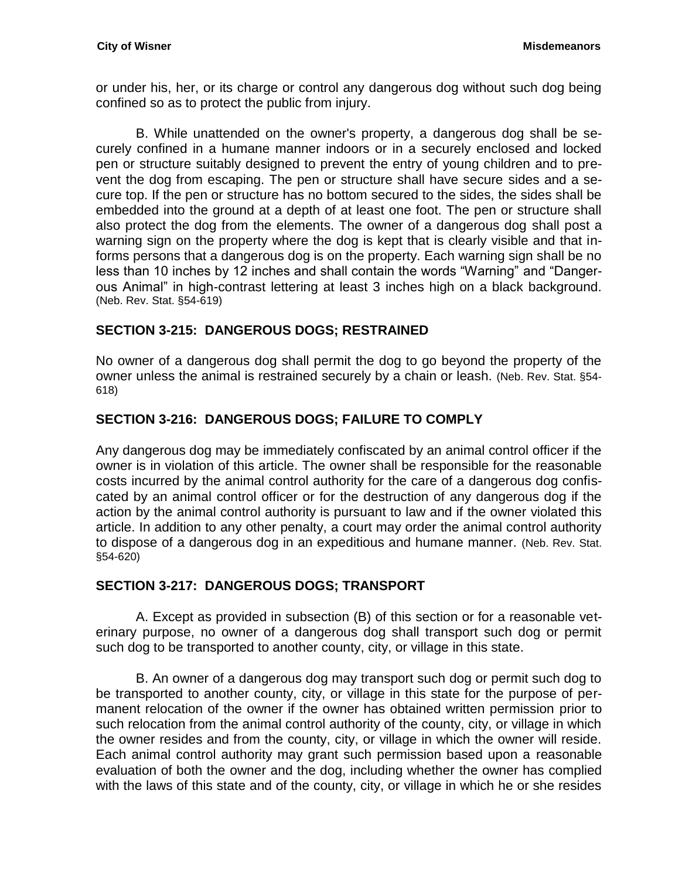or under his, her, or its charge or control any dangerous dog without such dog being confined so as to protect the public from injury.

B. While unattended on the owner's property, a dangerous dog shall be securely confined in a humane manner indoors or in a securely enclosed and locked pen or structure suitably designed to prevent the entry of young children and to prevent the dog from escaping. The pen or structure shall have secure sides and a secure top. If the pen or structure has no bottom secured to the sides, the sides shall be embedded into the ground at a depth of at least one foot. The pen or structure shall also protect the dog from the elements. The owner of a dangerous dog shall post a warning sign on the property where the dog is kept that is clearly visible and that informs persons that a dangerous dog is on the property. Each warning sign shall be no less than 10 inches by 12 inches and shall contain the words "Warning" and "Dangerous Animal" in high-contrast lettering at least 3 inches high on a black background. (Neb. Rev. Stat. §54-619)

### <span id="page-20-0"></span>**SECTION 3-215: DANGEROUS DOGS; RESTRAINED**

No owner of a dangerous dog shall permit the dog to go beyond the property of the owner unless the animal is restrained securely by a chain or leash. (Neb. Rev. Stat. §54- 618)

### <span id="page-20-1"></span>**SECTION 3-216: DANGEROUS DOGS; FAILURE TO COMPLY**

Any dangerous dog may be immediately confiscated by an animal control officer if the owner is in violation of this article. The owner shall be responsible for the reasonable costs incurred by the animal control authority for the care of a dangerous dog confiscated by an animal control officer or for the destruction of any dangerous dog if the action by the animal control authority is pursuant to law and if the owner violated this article. In addition to any other penalty, a court may order the animal control authority to dispose of a dangerous dog in an expeditious and humane manner. (Neb. Rev. Stat. §54-620)

### <span id="page-20-2"></span>**SECTION 3-217: DANGEROUS DOGS; TRANSPORT**

A. Except as provided in subsection (B) of this section or for a reasonable veterinary purpose, no owner of a dangerous dog shall transport such dog or permit such dog to be transported to another county, city, or village in this state.

B. An owner of a dangerous dog may transport such dog or permit such dog to be transported to another county, city, or village in this state for the purpose of permanent relocation of the owner if the owner has obtained written permission prior to such relocation from the animal control authority of the county, city, or village in which the owner resides and from the county, city, or village in which the owner will reside. Each animal control authority may grant such permission based upon a reasonable evaluation of both the owner and the dog, including whether the owner has complied with the laws of this state and of the county, city, or village in which he or she resides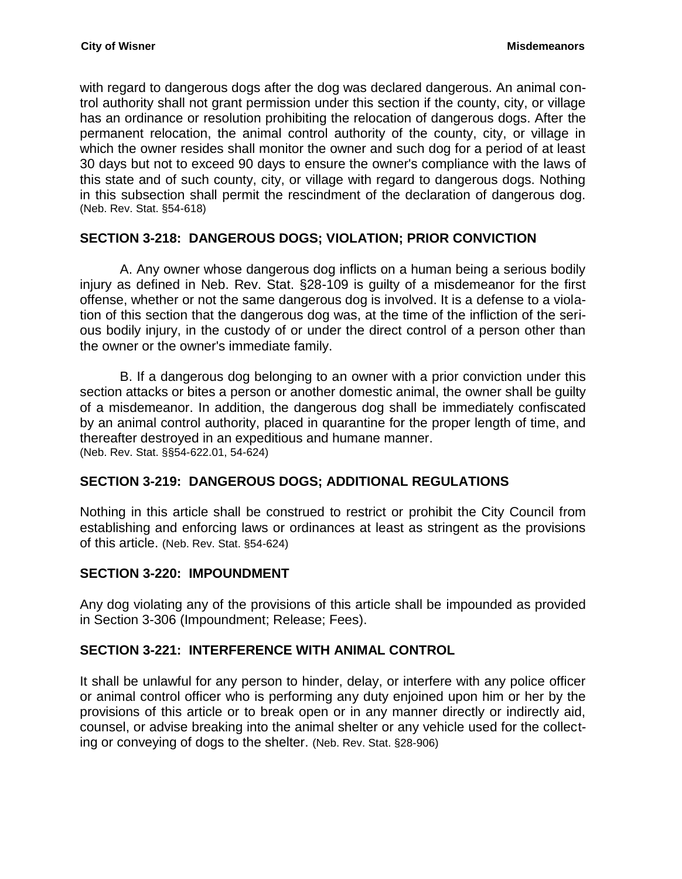with regard to dangerous dogs after the dog was declared dangerous. An animal control authority shall not grant permission under this section if the county, city, or village has an ordinance or resolution prohibiting the relocation of dangerous dogs. After the permanent relocation, the animal control authority of the county, city, or village in which the owner resides shall monitor the owner and such dog for a period of at least 30 days but not to exceed 90 days to ensure the owner's compliance with the laws of this state and of such county, city, or village with regard to dangerous dogs. Nothing in this subsection shall permit the rescindment of the declaration of dangerous dog. (Neb. Rev. Stat. §54-618)

### <span id="page-21-0"></span>**SECTION 3-218: DANGEROUS DOGS; VIOLATION; PRIOR CONVICTION**

A. Any owner whose dangerous dog inflicts on a human being a serious bodily injury as defined in Neb. Rev. Stat. §28-109 is guilty of a misdemeanor for the first offense, whether or not the same dangerous dog is involved. It is a defense to a violation of this section that the dangerous dog was, at the time of the infliction of the serious bodily injury, in the custody of or under the direct control of a person other than the owner or the owner's immediate family.

B. If a dangerous dog belonging to an owner with a prior conviction under this section attacks or bites a person or another domestic animal, the owner shall be guilty of a misdemeanor. In addition, the dangerous dog shall be immediately confiscated by an animal control authority, placed in quarantine for the proper length of time, and thereafter destroyed in an expeditious and humane manner. (Neb. Rev. Stat. §§54-622.01, 54-624)

### <span id="page-21-1"></span>**SECTION 3-219: DANGEROUS DOGS; ADDITIONAL REGULATIONS**

Nothing in this article shall be construed to restrict or prohibit the City Council from establishing and enforcing laws or ordinances at least as stringent as the provisions of this article. (Neb. Rev. Stat. §54-624)

#### <span id="page-21-2"></span>**SECTION 3-220: IMPOUNDMENT**

Any dog violating any of the provisions of this article shall be impounded as provided in Section 3-306 (Impoundment; Release; Fees).

#### <span id="page-21-3"></span>**SECTION 3-221: INTERFERENCE WITH ANIMAL CONTROL**

It shall be unlawful for any person to hinder, delay, or interfere with any police officer or animal control officer who is performing any duty enjoined upon him or her by the provisions of this article or to break open or in any manner directly or indirectly aid, counsel, or advise breaking into the animal shelter or any vehicle used for the collecting or conveying of dogs to the shelter. (Neb. Rev. Stat. §28-906)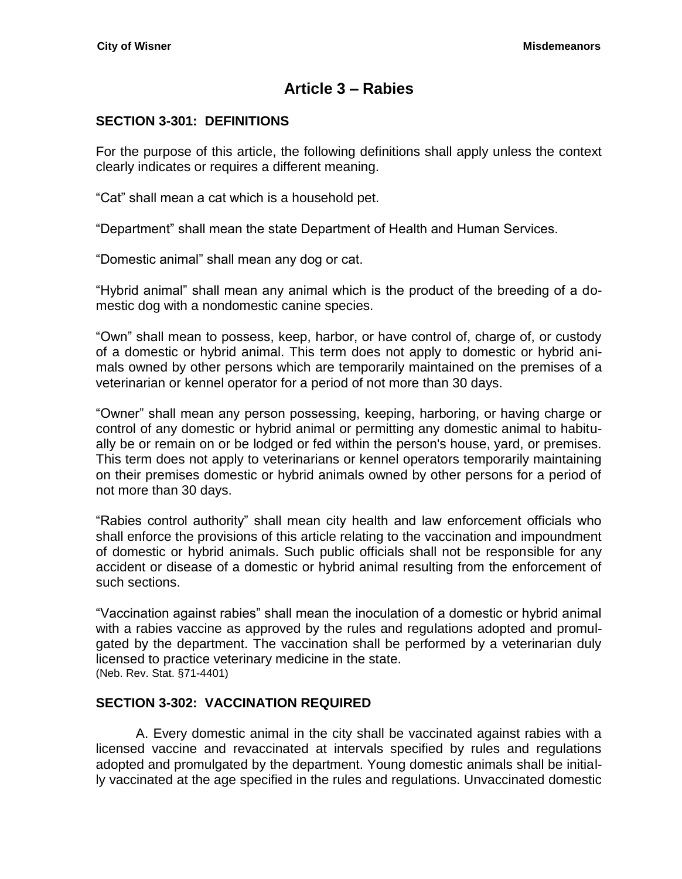# **Article 3 – Rabies**

# <span id="page-22-1"></span><span id="page-22-0"></span>**SECTION 3-301: DEFINITIONS**

For the purpose of this article, the following definitions shall apply unless the context clearly indicates or requires a different meaning.

"Cat" shall mean a cat which is a household pet.

"Department" shall mean the state Department of Health and Human Services.

"Domestic animal" shall mean any dog or cat.

"Hybrid animal" shall mean any animal which is the product of the breeding of a domestic dog with a nondomestic canine species.

"Own" shall mean to possess, keep, harbor, or have control of, charge of, or custody of a domestic or hybrid animal. This term does not apply to domestic or hybrid animals owned by other persons which are temporarily maintained on the premises of a veterinarian or kennel operator for a period of not more than 30 days.

"Owner" shall mean any person possessing, keeping, harboring, or having charge or control of any domestic or hybrid animal or permitting any domestic animal to habitually be or remain on or be lodged or fed within the person's house, yard, or premises. This term does not apply to veterinarians or kennel operators temporarily maintaining on their premises domestic or hybrid animals owned by other persons for a period of not more than 30 days.

"Rabies control authority" shall mean city health and law enforcement officials who shall enforce the provisions of this article relating to the vaccination and impoundment of domestic or hybrid animals. Such public officials shall not be responsible for any accident or disease of a domestic or hybrid animal resulting from the enforcement of such sections.

"Vaccination against rabies" shall mean the inoculation of a domestic or hybrid animal with a rabies vaccine as approved by the rules and regulations adopted and promulgated by the department. The vaccination shall be performed by a veterinarian duly licensed to practice veterinary medicine in the state. (Neb. Rev. Stat. §71-4401)

# <span id="page-22-2"></span>**SECTION 3-302: VACCINATION REQUIRED**

A. Every domestic animal in the city shall be vaccinated against rabies with a licensed vaccine and revaccinated at intervals specified by rules and regulations adopted and promulgated by the department. Young domestic animals shall be initially vaccinated at the age specified in the rules and regulations. Unvaccinated domestic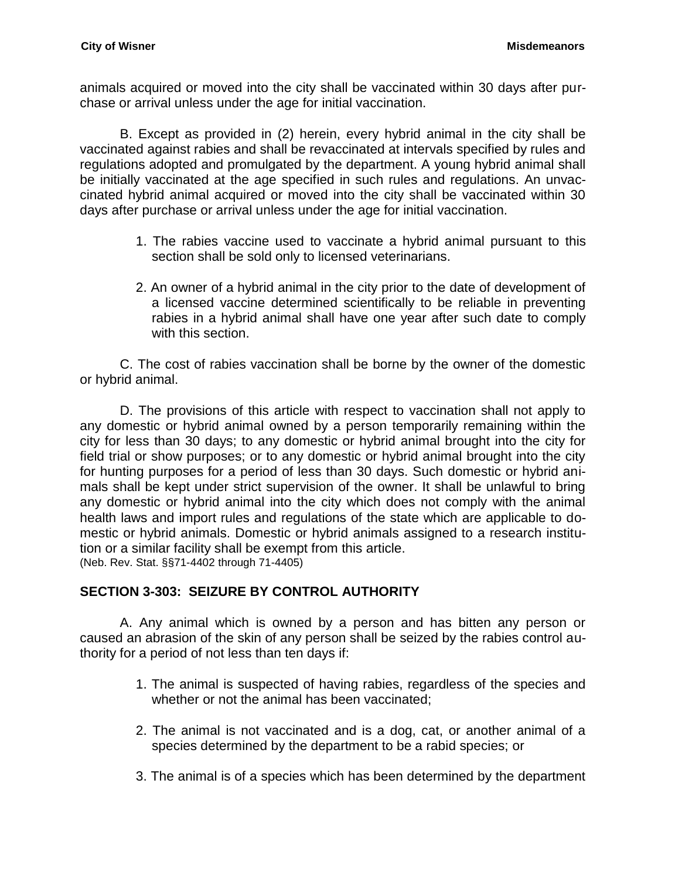animals acquired or moved into the city shall be vaccinated within 30 days after purchase or arrival unless under the age for initial vaccination.

B. Except as provided in (2) herein, every hybrid animal in the city shall be vaccinated against rabies and shall be revaccinated at intervals specified by rules and regulations adopted and promulgated by the department. A young hybrid animal shall be initially vaccinated at the age specified in such rules and regulations. An unvaccinated hybrid animal acquired or moved into the city shall be vaccinated within 30 days after purchase or arrival unless under the age for initial vaccination.

- 1. The rabies vaccine used to vaccinate a hybrid animal pursuant to this section shall be sold only to licensed veterinarians.
- 2. An owner of a hybrid animal in the city prior to the date of development of a licensed vaccine determined scientifically to be reliable in preventing rabies in a hybrid animal shall have one year after such date to comply with this section.

C. The cost of rabies vaccination shall be borne by the owner of the domestic or hybrid animal.

D. The provisions of this article with respect to vaccination shall not apply to any domestic or hybrid animal owned by a person temporarily remaining within the city for less than 30 days; to any domestic or hybrid animal brought into the city for field trial or show purposes; or to any domestic or hybrid animal brought into the city for hunting purposes for a period of less than 30 days. Such domestic or hybrid animals shall be kept under strict supervision of the owner. It shall be unlawful to bring any domestic or hybrid animal into the city which does not comply with the animal health laws and import rules and regulations of the state which are applicable to domestic or hybrid animals. Domestic or hybrid animals assigned to a research institution or a similar facility shall be exempt from this article. (Neb. Rev. Stat. §§71-4402 through 71-4405)

# <span id="page-23-0"></span>**SECTION 3-303: SEIZURE BY CONTROL AUTHORITY**

A. Any animal which is owned by a person and has bitten any person or caused an abrasion of the skin of any person shall be seized by the rabies control authority for a period of not less than ten days if:

- 1. The animal is suspected of having rabies, regardless of the species and whether or not the animal has been vaccinated;
- 2. The animal is not vaccinated and is a dog, cat, or another animal of a species determined by the department to be a rabid species; or
- 3. The animal is of a species which has been determined by the department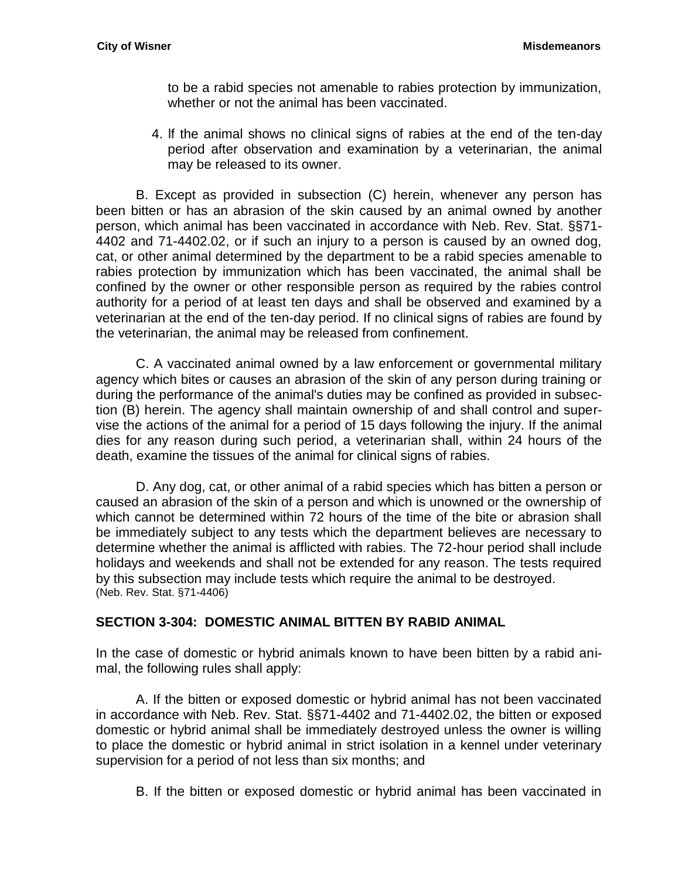to be a rabid species not amenable to rabies protection by immunization, whether or not the animal has been vaccinated.

4. lf the animal shows no clinical signs of rabies at the end of the ten-day period after observation and examination by a veterinarian, the animal may be released to its owner.

B. Except as provided in subsection (C) herein, whenever any person has been bitten or has an abrasion of the skin caused by an animal owned by another person, which animal has been vaccinated in accordance with Neb. Rev. Stat. §§71- 4402 and 71-4402.02, or if such an injury to a person is caused by an owned dog, cat, or other animal determined by the department to be a rabid species amenable to rabies protection by immunization which has been vaccinated, the animal shall be confined by the owner or other responsible person as required by the rabies control authority for a period of at least ten days and shall be observed and examined by a veterinarian at the end of the ten-day period. If no clinical signs of rabies are found by the veterinarian, the animal may be released from confinement.

C. A vaccinated animal owned by a law enforcement or governmental military agency which bites or causes an abrasion of the skin of any person during training or during the performance of the animal's duties may be confined as provided in subsection (B) herein. The agency shall maintain ownership of and shall control and supervise the actions of the animal for a period of 15 days following the injury. If the animal dies for any reason during such period, a veterinarian shall, within 24 hours of the death, examine the tissues of the animal for clinical signs of rabies.

D. Any dog, cat, or other animal of a rabid species which has bitten a person or caused an abrasion of the skin of a person and which is unowned or the ownership of which cannot be determined within 72 hours of the time of the bite or abrasion shall be immediately subject to any tests which the department believes are necessary to determine whether the animal is afflicted with rabies. The 72-hour period shall include holidays and weekends and shall not be extended for any reason. The tests required by this subsection may include tests which require the animal to be destroyed. (Neb. Rev. Stat. §71-4406)

# <span id="page-24-0"></span>**SECTION 3-304: DOMESTIC ANIMAL BITTEN BY RABID ANIMAL**

In the case of domestic or hybrid animals known to have been bitten by a rabid animal, the following rules shall apply:

A. If the bitten or exposed domestic or hybrid animal has not been vaccinated in accordance with Neb. Rev. Stat. §§71-4402 and 71-4402.02, the bitten or exposed domestic or hybrid animal shall be immediately destroyed unless the owner is willing to place the domestic or hybrid animal in strict isolation in a kennel under veterinary supervision for a period of not less than six months; and

B. If the bitten or exposed domestic or hybrid animal has been vaccinated in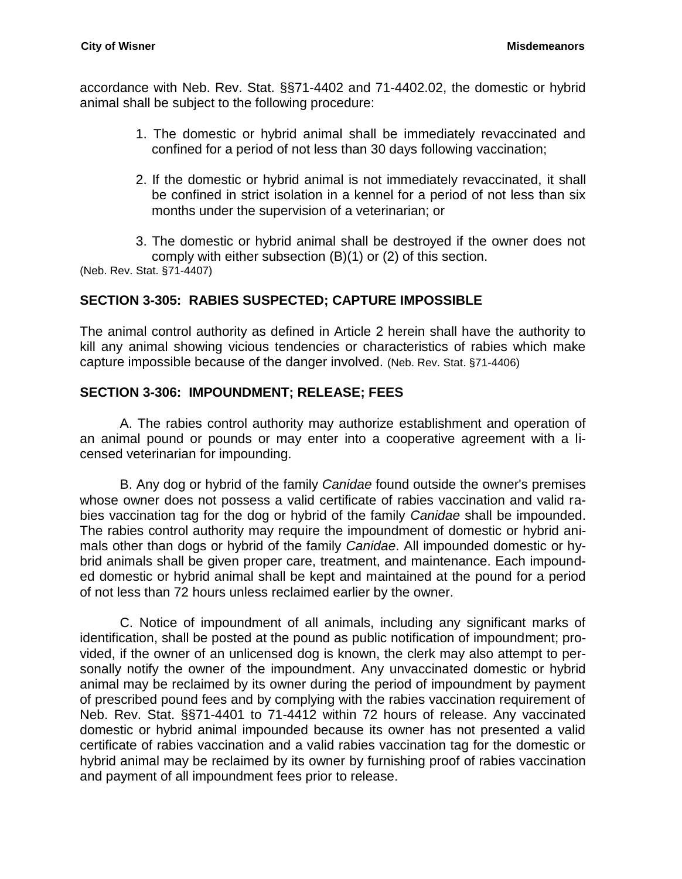accordance with Neb. Rev. Stat. §§71-4402 and 71-4402.02, the domestic or hybrid animal shall be subject to the following procedure:

- 1. The domestic or hybrid animal shall be immediately revaccinated and confined for a period of not less than 30 days following vaccination;
- 2. If the domestic or hybrid animal is not immediately revaccinated, it shall be confined in strict isolation in a kennel for a period of not less than six months under the supervision of a veterinarian; or
- 3. The domestic or hybrid animal shall be destroyed if the owner does not comply with either subsection (B)(1) or (2) of this section.

(Neb. Rev. Stat. §71-4407)

### <span id="page-25-0"></span>**SECTION 3-305: RABIES SUSPECTED; CAPTURE IMPOSSIBLE**

The animal control authority as defined in Article 2 herein shall have the authority to kill any animal showing vicious tendencies or characteristics of rabies which make capture impossible because of the danger involved. (Neb. Rev. Stat. §71-4406)

### <span id="page-25-1"></span>**SECTION 3-306: IMPOUNDMENT; RELEASE; FEES**

A. The rabies control authority may authorize establishment and operation of an animal pound or pounds or may enter into a cooperative agreement with a licensed veterinarian for impounding.

B. Any dog or hybrid of the family *Canidae* found outside the owner's premises whose owner does not possess a valid certificate of rabies vaccination and valid rabies vaccination tag for the dog or hybrid of the family *Canidae* shall be impounded. The rabies control authority may require the impoundment of domestic or hybrid animals other than dogs or hybrid of the family *Canidae*. All impounded domestic or hybrid animals shall be given proper care, treatment, and maintenance. Each impounded domestic or hybrid animal shall be kept and maintained at the pound for a period of not less than 72 hours unless reclaimed earlier by the owner.

C. Notice of impoundment of all animals, including any significant marks of identification, shall be posted at the pound as public notification of impoundment; provided, if the owner of an unlicensed dog is known, the clerk may also attempt to personally notify the owner of the impoundment. Any unvaccinated domestic or hybrid animal may be reclaimed by its owner during the period of impoundment by payment of prescribed pound fees and by complying with the rabies vaccination requirement of Neb. Rev. Stat. §§71-4401 to 71-4412 within 72 hours of release. Any vaccinated domestic or hybrid animal impounded because its owner has not presented a valid certificate of rabies vaccination and a valid rabies vaccination tag for the domestic or hybrid animal may be reclaimed by its owner by furnishing proof of rabies vaccination and payment of all impoundment fees prior to release.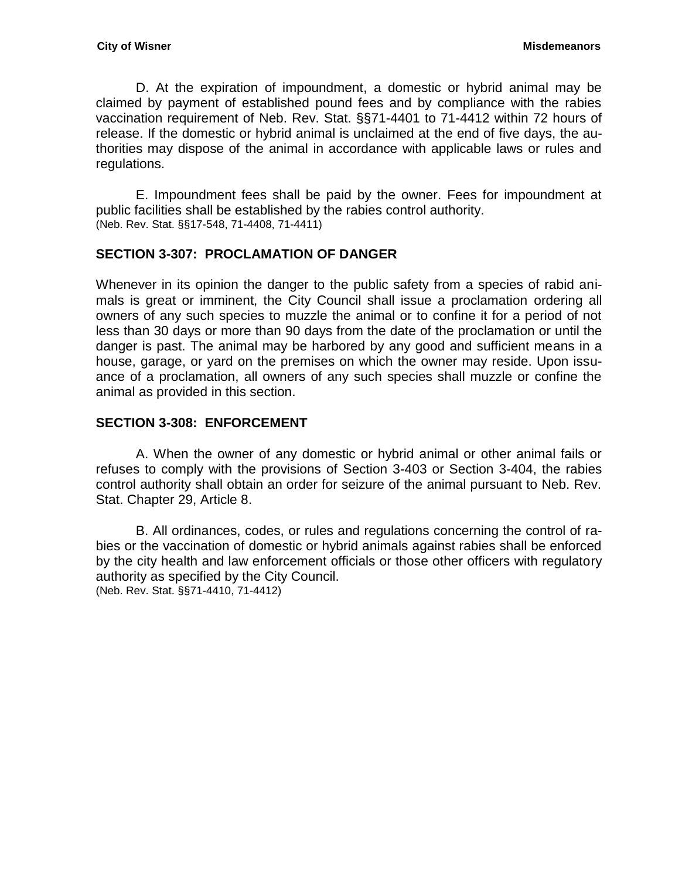D. At the expiration of impoundment, a domestic or hybrid animal may be claimed by payment of established pound fees and by compliance with the rabies vaccination requirement of Neb. Rev. Stat. §§71-4401 to 71-4412 within 72 hours of release. If the domestic or hybrid animal is unclaimed at the end of five days, the authorities may dispose of the animal in accordance with applicable laws or rules and regulations.

E. Impoundment fees shall be paid by the owner. Fees for impoundment at public facilities shall be established by the rabies control authority. (Neb. Rev. Stat. §§17-548, 71-4408, 71-4411)

# <span id="page-26-0"></span>**SECTION 3-307: PROCLAMATION OF DANGER**

Whenever in its opinion the danger to the public safety from a species of rabid animals is great or imminent, the City Council shall issue a proclamation ordering all owners of any such species to muzzle the animal or to confine it for a period of not less than 30 days or more than 90 days from the date of the proclamation or until the danger is past. The animal may be harbored by any good and sufficient means in a house, garage, or yard on the premises on which the owner may reside. Upon issuance of a proclamation, all owners of any such species shall muzzle or confine the animal as provided in this section.

### <span id="page-26-1"></span>**SECTION 3-308: ENFORCEMENT**

A. When the owner of any domestic or hybrid animal or other animal fails or refuses to comply with the provisions of Section 3-403 or Section 3-404, the rabies control authority shall obtain an order for seizure of the animal pursuant to Neb. Rev. Stat. Chapter 29, Article 8.

B. All ordinances, codes, or rules and regulations concerning the control of rabies or the vaccination of domestic or hybrid animals against rabies shall be enforced by the city health and law enforcement officials or those other officers with regulatory authority as specified by the City Council. (Neb. Rev. Stat. §§71-4410, 71-4412)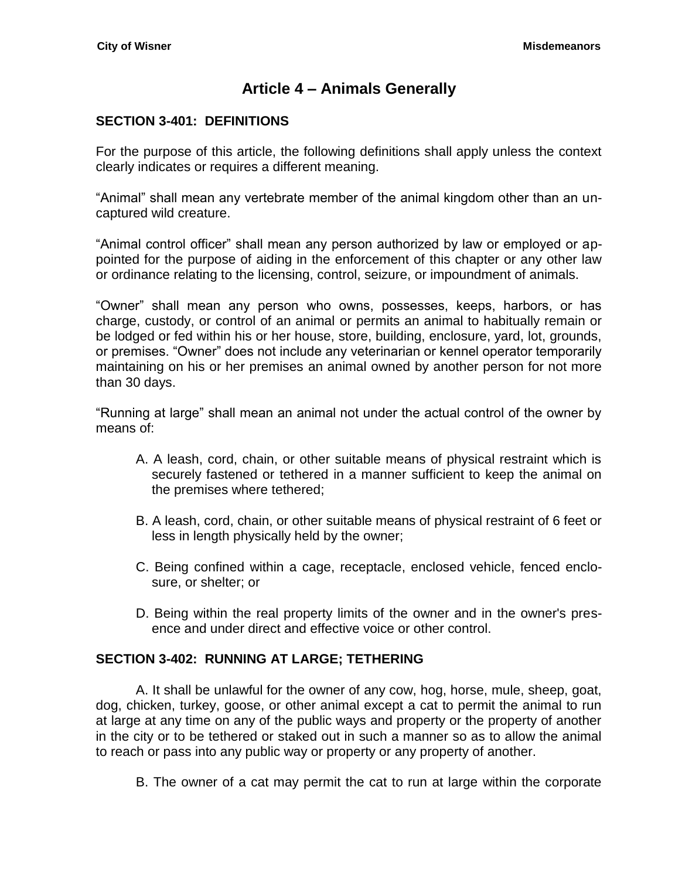# **Article 4 – Animals Generally**

### <span id="page-28-1"></span><span id="page-28-0"></span>**SECTION 3-401: DEFINITIONS**

For the purpose of this article, the following definitions shall apply unless the context clearly indicates or requires a different meaning.

"Animal" shall mean any vertebrate member of the animal kingdom other than an uncaptured wild creature.

"Animal control officer" shall mean any person authorized by law or employed or appointed for the purpose of aiding in the enforcement of this chapter or any other law or ordinance relating to the licensing, control, seizure, or impoundment of animals.

"Owner" shall mean any person who owns, possesses, keeps, harbors, or has charge, custody, or control of an animal or permits an animal to habitually remain or be lodged or fed within his or her house, store, building, enclosure, yard, lot, grounds, or premises. "Owner" does not include any veterinarian or kennel operator temporarily maintaining on his or her premises an animal owned by another person for not more than 30 days.

"Running at large" shall mean an animal not under the actual control of the owner by means of:

- A. A leash, cord, chain, or other suitable means of physical restraint which is securely fastened or tethered in a manner sufficient to keep the animal on the premises where tethered;
- B. A leash, cord, chain, or other suitable means of physical restraint of 6 feet or less in length physically held by the owner;
- C. Being confined within a cage, receptacle, enclosed vehicle, fenced enclosure, or shelter; or
- D. Being within the real property limits of the owner and in the owner's presence and under direct and effective voice or other control.

### <span id="page-28-2"></span>**SECTION 3-402: RUNNING AT LARGE; TETHERING**

A. It shall be unlawful for the owner of any cow, hog, horse, mule, sheep, goat, dog, chicken, turkey, goose, or other animal except a cat to permit the animal to run at large at any time on any of the public ways and property or the property of another in the city or to be tethered or staked out in such a manner so as to allow the animal to reach or pass into any public way or property or any property of another.

B. The owner of a cat may permit the cat to run at large within the corporate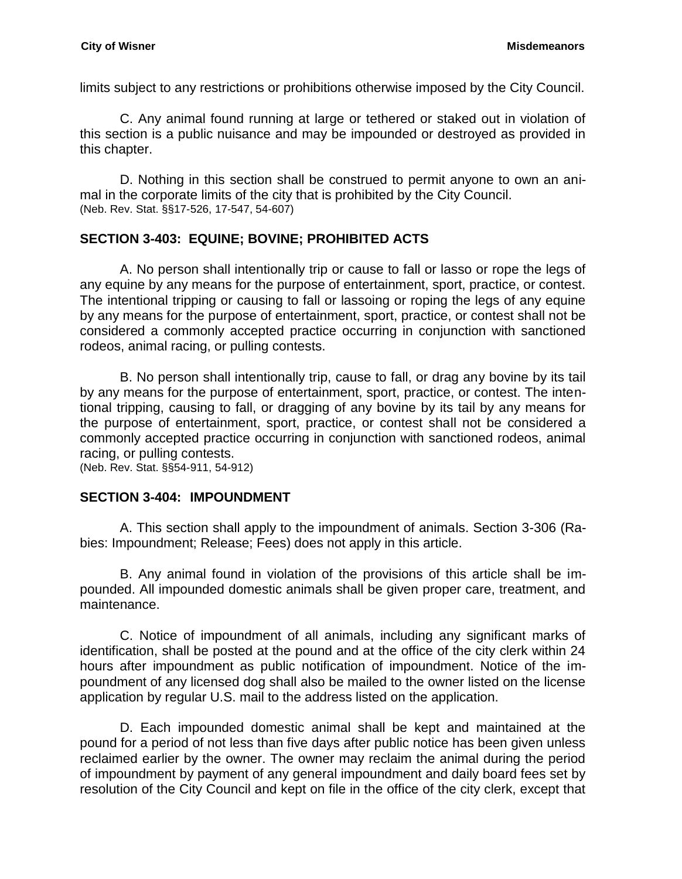limits subject to any restrictions or prohibitions otherwise imposed by the City Council.

C. Any animal found running at large or tethered or staked out in violation of this section is a public nuisance and may be impounded or destroyed as provided in this chapter.

D. Nothing in this section shall be construed to permit anyone to own an animal in the corporate limits of the city that is prohibited by the City Council. (Neb. Rev. Stat. §§17-526, 17-547, 54-607)

### <span id="page-29-0"></span>**SECTION 3-403: EQUINE; BOVINE; PROHIBITED ACTS**

A. No person shall intentionally trip or cause to fall or lasso or rope the legs of any equine by any means for the purpose of entertainment, sport, practice, or contest. The intentional tripping or causing to fall or lassoing or roping the legs of any equine by any means for the purpose of entertainment, sport, practice, or contest shall not be considered a commonly accepted practice occurring in conjunction with sanctioned rodeos, animal racing, or pulling contests.

B. No person shall intentionally trip, cause to fall, or drag any bovine by its tail by any means for the purpose of entertainment, sport, practice, or contest. The intentional tripping, causing to fall, or dragging of any bovine by its tail by any means for the purpose of entertainment, sport, practice, or contest shall not be considered a commonly accepted practice occurring in conjunction with sanctioned rodeos, animal racing, or pulling contests.

(Neb. Rev. Stat. §§54-911, 54-912)

### <span id="page-29-1"></span>**SECTION 3-404: IMPOUNDMENT**

A. This section shall apply to the impoundment of animals. Section 3-306 (Rabies: Impoundment; Release; Fees) does not apply in this article.

B. Any animal found in violation of the provisions of this article shall be impounded. All impounded domestic animals shall be given proper care, treatment, and maintenance.

C. Notice of impoundment of all animals, including any significant marks of identification, shall be posted at the pound and at the office of the city clerk within 24 hours after impoundment as public notification of impoundment. Notice of the impoundment of any licensed dog shall also be mailed to the owner listed on the license application by regular U.S. mail to the address listed on the application.

D. Each impounded domestic animal shall be kept and maintained at the pound for a period of not less than five days after public notice has been given unless reclaimed earlier by the owner. The owner may reclaim the animal during the period of impoundment by payment of any general impoundment and daily board fees set by resolution of the City Council and kept on file in the office of the city clerk, except that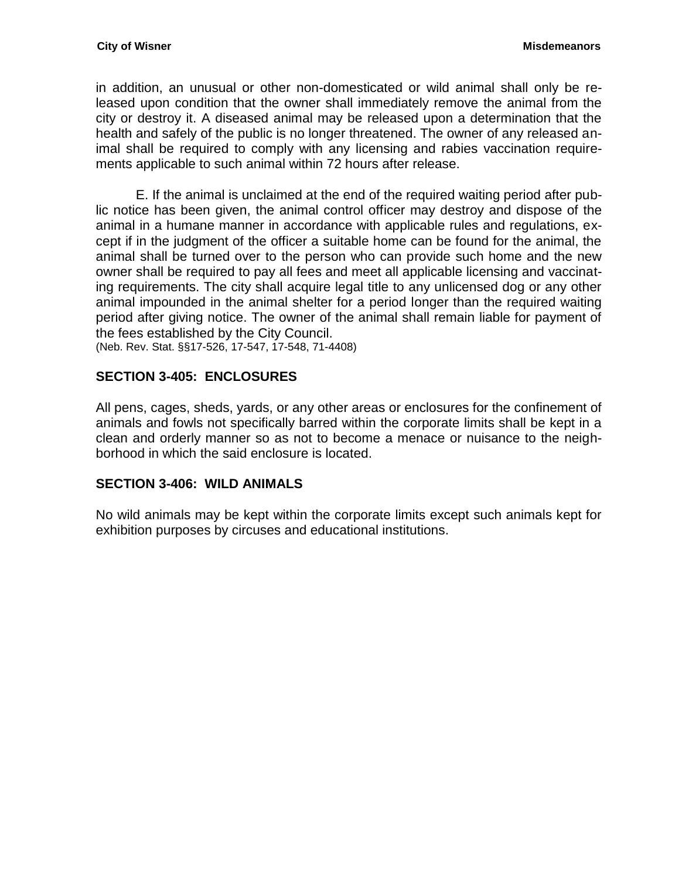in addition, an unusual or other non-domesticated or wild animal shall only be released upon condition that the owner shall immediately remove the animal from the city or destroy it. A diseased animal may be released upon a determination that the health and safely of the public is no longer threatened. The owner of any released animal shall be required to comply with any licensing and rabies vaccination requirements applicable to such animal within 72 hours after release.

E. If the animal is unclaimed at the end of the required waiting period after public notice has been given, the animal control officer may destroy and dispose of the animal in a humane manner in accordance with applicable rules and regulations, except if in the judgment of the officer a suitable home can be found for the animal, the animal shall be turned over to the person who can provide such home and the new owner shall be required to pay all fees and meet all applicable licensing and vaccinating requirements. The city shall acquire legal title to any unlicensed dog or any other animal impounded in the animal shelter for a period longer than the required waiting period after giving notice. The owner of the animal shall remain liable for payment of the fees established by the City Council.

(Neb. Rev. Stat. §§17-526, 17-547, 17-548, 71-4408)

### <span id="page-30-0"></span>**SECTION 3-405: ENCLOSURES**

All pens, cages, sheds, yards, or any other areas or enclosures for the confinement of animals and fowls not specifically barred within the corporate limits shall be kept in a clean and orderly manner so as not to become a menace or nuisance to the neighborhood in which the said enclosure is located.

### <span id="page-30-1"></span>**SECTION 3-406: WILD ANIMALS**

No wild animals may be kept within the corporate limits except such animals kept for exhibition purposes by circuses and educational institutions.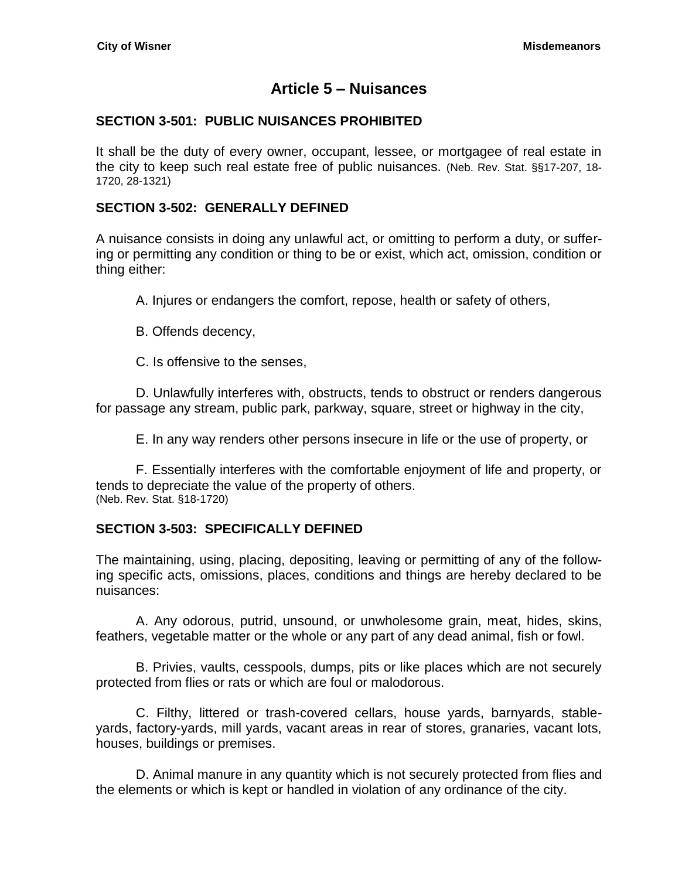# **Article 5 – Nuisances**

### <span id="page-32-1"></span><span id="page-32-0"></span>**SECTION 3-501: PUBLIC NUISANCES PROHIBITED**

It shall be the duty of every owner, occupant, lessee, or mortgagee of real estate in the city to keep such real estate free of public nuisances. (Neb. Rev. Stat. §§17-207, 18- 1720, 28-1321)

#### <span id="page-32-2"></span>**SECTION 3-502: GENERALLY DEFINED**

A nuisance consists in doing any unlawful act, or omitting to perform a duty, or suffering or permitting any condition or thing to be or exist, which act, omission, condition or thing either:

A. Injures or endangers the comfort, repose, health or safety of others,

B. Offends decency,

C. Is offensive to the senses,

D. Unlawfully interferes with, obstructs, tends to obstruct or renders dangerous for passage any stream, public park, parkway, square, street or highway in the city,

E. In any way renders other persons insecure in life or the use of property, or

F. Essentially interferes with the comfortable enjoyment of life and property, or tends to depreciate the value of the property of others. (Neb. Rev. Stat. §18-1720)

### <span id="page-32-3"></span>**SECTION 3-503: SPECIFICALLY DEFINED**

The maintaining, using, placing, depositing, leaving or permitting of any of the following specific acts, omissions, places, conditions and things are hereby declared to be nuisances:

A. Any odorous, putrid, unsound, or unwholesome grain, meat, hides, skins, feathers, vegetable matter or the whole or any part of any dead animal, fish or fowl.

B. Privies, vaults, cesspools, dumps, pits or like places which are not securely protected from flies or rats or which are foul or malodorous.

C. Filthy, littered or trash-covered cellars, house yards, barnyards, stableyards, factory-yards, mill yards, vacant areas in rear of stores, granaries, vacant lots, houses, buildings or premises.

D. Animal manure in any quantity which is not securely protected from flies and the elements or which is kept or handled in violation of any ordinance of the city.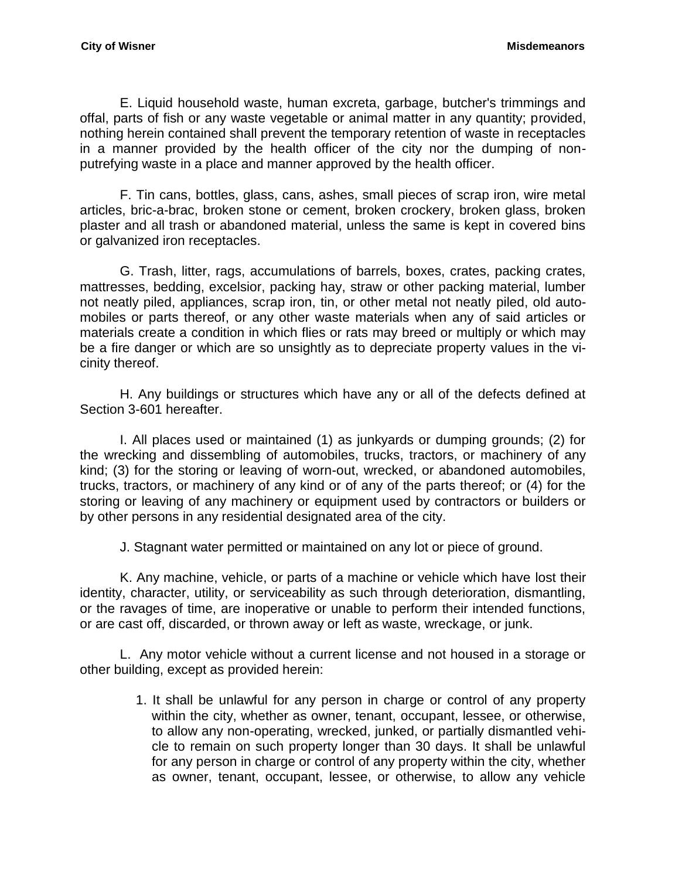E. Liquid household waste, human excreta, garbage, butcher's trimmings and offal, parts of fish or any waste vegetable or animal matter in any quantity; provided, nothing herein contained shall prevent the temporary retention of waste in receptacles in a manner provided by the health officer of the city nor the dumping of nonputrefying waste in a place and manner approved by the health officer.

F. Tin cans, bottles, glass, cans, ashes, small pieces of scrap iron, wire metal articles, bric-a-brac, broken stone or cement, broken crockery, broken glass, broken plaster and all trash or abandoned material, unless the same is kept in covered bins or galvanized iron receptacles.

G. Trash, litter, rags, accumulations of barrels, boxes, crates, packing crates, mattresses, bedding, excelsior, packing hay, straw or other packing material, lumber not neatly piled, appliances, scrap iron, tin, or other metal not neatly piled, old automobiles or parts thereof, or any other waste materials when any of said articles or materials create a condition in which flies or rats may breed or multiply or which may be a fire danger or which are so unsightly as to depreciate property values in the vicinity thereof.

H. Any buildings or structures which have any or all of the defects defined at Section 3-601 hereafter.

I. All places used or maintained (1) as junkyards or dumping grounds; (2) for the wrecking and dissembling of automobiles, trucks, tractors, or machinery of any kind; (3) for the storing or leaving of worn-out, wrecked, or abandoned automobiles, trucks, tractors, or machinery of any kind or of any of the parts thereof; or (4) for the storing or leaving of any machinery or equipment used by contractors or builders or by other persons in any residential designated area of the city.

J. Stagnant water permitted or maintained on any lot or piece of ground.

K. Any machine, vehicle, or parts of a machine or vehicle which have lost their identity, character, utility, or serviceability as such through deterioration, dismantling, or the ravages of time, are inoperative or unable to perform their intended functions, or are cast off, discarded, or thrown away or left as waste, wreckage, or junk.

L. Any motor vehicle without a current license and not housed in a storage or other building, except as provided herein:

> 1. It shall be unlawful for any person in charge or control of any property within the city, whether as owner, tenant, occupant, lessee, or otherwise, to allow any non-operating, wrecked, junked, or partially dismantled vehicle to remain on such property longer than 30 days. It shall be unlawful for any person in charge or control of any property within the city, whether as owner, tenant, occupant, lessee, or otherwise, to allow any vehicle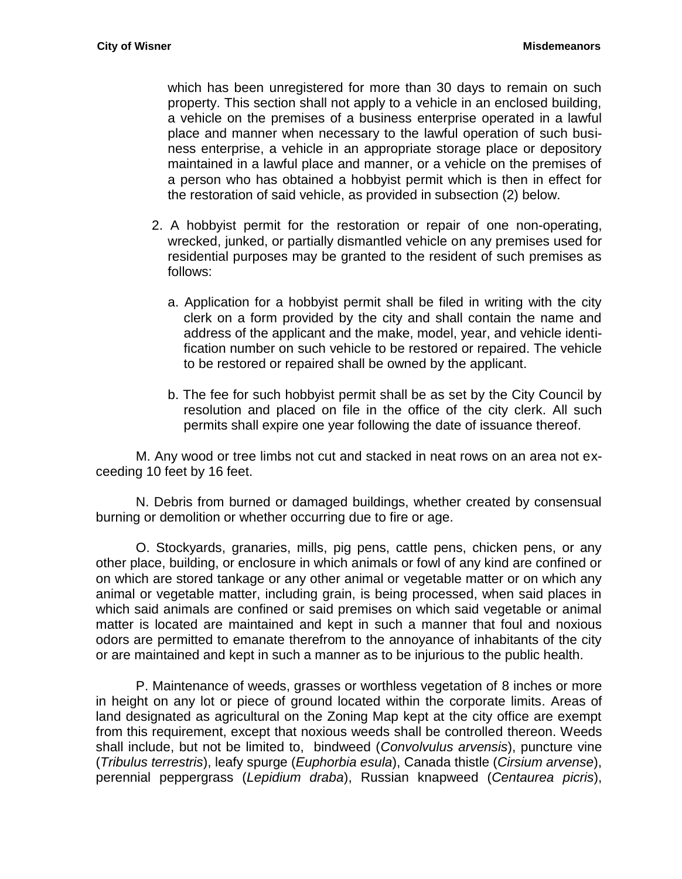which has been unregistered for more than 30 days to remain on such property. This section shall not apply to a vehicle in an enclosed building, a vehicle on the premises of a business enterprise operated in a lawful place and manner when necessary to the lawful operation of such business enterprise, a vehicle in an appropriate storage place or depository maintained in a lawful place and manner, or a vehicle on the premises of a person who has obtained a hobbyist permit which is then in effect for the restoration of said vehicle, as provided in subsection (2) below.

- 2. A hobbyist permit for the restoration or repair of one non-operating, wrecked, junked, or partially dismantled vehicle on any premises used for residential purposes may be granted to the resident of such premises as follows:
	- a. Application for a hobbyist permit shall be filed in writing with the city clerk on a form provided by the city and shall contain the name and address of the applicant and the make, model, year, and vehicle identification number on such vehicle to be restored or repaired. The vehicle to be restored or repaired shall be owned by the applicant.
	- b. The fee for such hobbyist permit shall be as set by the City Council by resolution and placed on file in the office of the city clerk. All such permits shall expire one year following the date of issuance thereof.

M. Any wood or tree limbs not cut and stacked in neat rows on an area not exceeding 10 feet by 16 feet.

N. Debris from burned or damaged buildings, whether created by consensual burning or demolition or whether occurring due to fire or age.

O. Stockyards, granaries, mills, pig pens, cattle pens, chicken pens, or any other place, building, or enclosure in which animals or fowl of any kind are confined or on which are stored tankage or any other animal or vegetable matter or on which any animal or vegetable matter, including grain, is being processed, when said places in which said animals are confined or said premises on which said vegetable or animal matter is located are maintained and kept in such a manner that foul and noxious odors are permitted to emanate therefrom to the annoyance of inhabitants of the city or are maintained and kept in such a manner as to be injurious to the public health.

P. Maintenance of weeds, grasses or worthless vegetation of 8 inches or more in height on any lot or piece of ground located within the corporate limits. Areas of land designated as agricultural on the Zoning Map kept at the city office are exempt from this requirement, except that noxious weeds shall be controlled thereon. Weeds shall include, but not be limited to, bindweed (*Convolvulus arvensis*), puncture vine (*Tribulus terrestris*), leafy spurge (*Euphorbia esula*), Canada thistle (*Cirsium arvense*), perennial peppergrass (*Lepidium draba*), Russian knapweed (*Centaurea picris*),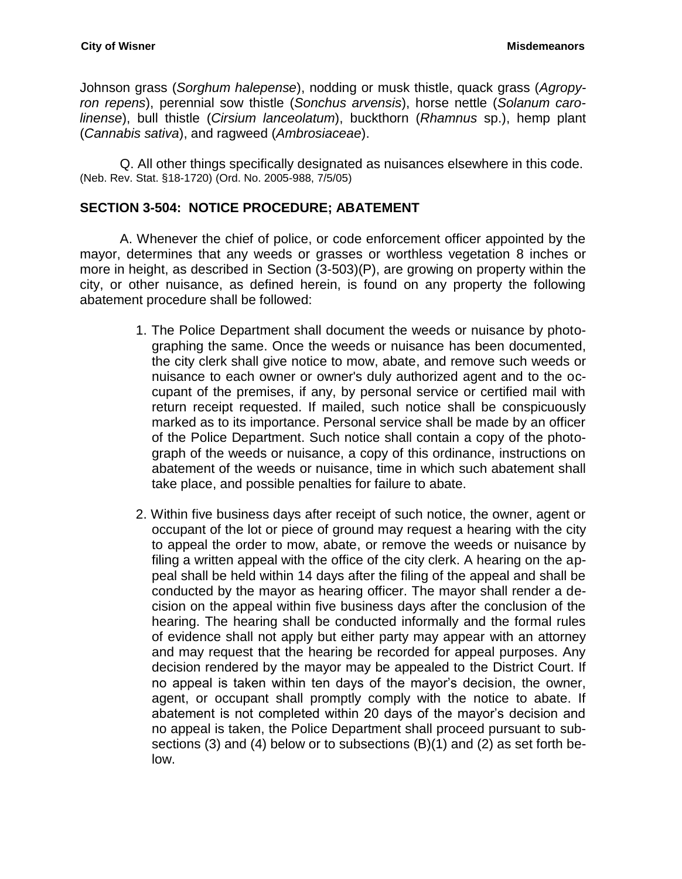Johnson grass (*Sorghum halepense*), nodding or musk thistle, quack grass (*Agropyron repens*), perennial sow thistle (*Sonchus arvensis*), horse nettle (*Solanum carolinense*), bull thistle (*Cirsium lanceolatum*), buckthorn (*Rhamnus* sp.), hemp plant (*Cannabis sativa*), and ragweed (*Ambrosiaceae*).

Q. All other things specifically designated as nuisances elsewhere in this code. (Neb. Rev. Stat. §18-1720) (Ord. No. 2005-988, 7/5/05)

#### <span id="page-35-0"></span>**SECTION 3-504: NOTICE PROCEDURE; ABATEMENT**

A. Whenever the chief of police, or code enforcement officer appointed by the mayor, determines that any weeds or grasses or worthless vegetation 8 inches or more in height, as described in Section (3-503)(P), are growing on property within the city, or other nuisance, as defined herein, is found on any property the following abatement procedure shall be followed:

- 1. The Police Department shall document the weeds or nuisance by photographing the same. Once the weeds or nuisance has been documented, the city clerk shall give notice to mow, abate, and remove such weeds or nuisance to each owner or owner's duly authorized agent and to the occupant of the premises, if any, by personal service or certified mail with return receipt requested. If mailed, such notice shall be conspicuously marked as to its importance. Personal service shall be made by an officer of the Police Department. Such notice shall contain a copy of the photograph of the weeds or nuisance, a copy of this ordinance, instructions on abatement of the weeds or nuisance, time in which such abatement shall take place, and possible penalties for failure to abate.
- 2. Within five business days after receipt of such notice, the owner, agent or occupant of the lot or piece of ground may request a hearing with the city to appeal the order to mow, abate, or remove the weeds or nuisance by filing a written appeal with the office of the city clerk. A hearing on the appeal shall be held within 14 days after the filing of the appeal and shall be conducted by the mayor as hearing officer. The mayor shall render a decision on the appeal within five business days after the conclusion of the hearing. The hearing shall be conducted informally and the formal rules of evidence shall not apply but either party may appear with an attorney and may request that the hearing be recorded for appeal purposes. Any decision rendered by the mayor may be appealed to the District Court. If no appeal is taken within ten days of the mayor's decision, the owner, agent, or occupant shall promptly comply with the notice to abate. If abatement is not completed within 20 days of the mayor's decision and no appeal is taken, the Police Department shall proceed pursuant to subsections (3) and (4) below or to subsections (B)(1) and (2) as set forth below.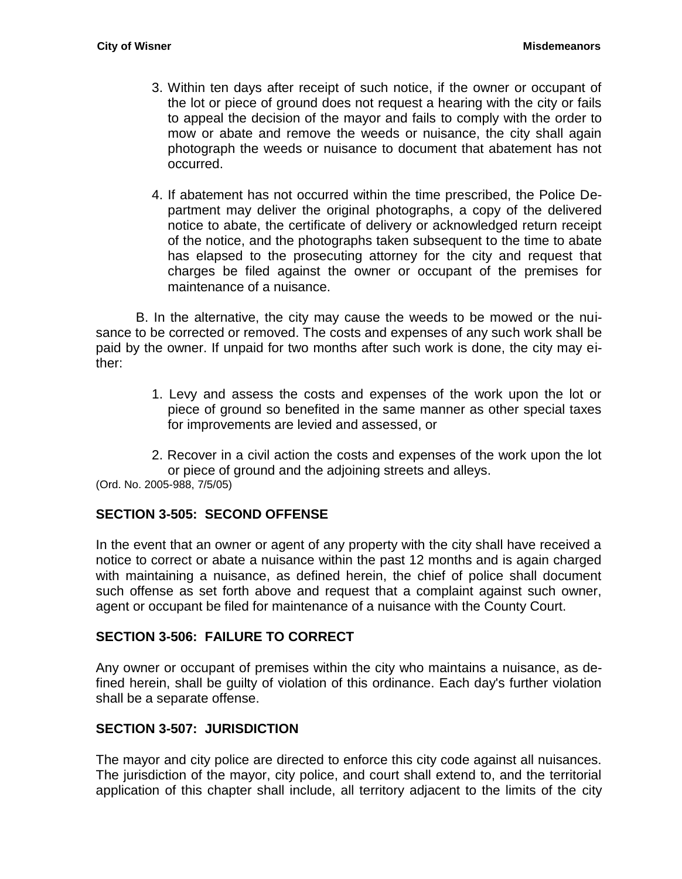- 3. Within ten days after receipt of such notice, if the owner or occupant of the lot or piece of ground does not request a hearing with the city or fails to appeal the decision of the mayor and fails to comply with the order to mow or abate and remove the weeds or nuisance, the city shall again photograph the weeds or nuisance to document that abatement has not occurred.
- 4. If abatement has not occurred within the time prescribed, the Police Department may deliver the original photographs, a copy of the delivered notice to abate, the certificate of delivery or acknowledged return receipt of the notice, and the photographs taken subsequent to the time to abate has elapsed to the prosecuting attorney for the city and request that charges be filed against the owner or occupant of the premises for maintenance of a nuisance.

B. In the alternative, the city may cause the weeds to be mowed or the nuisance to be corrected or removed. The costs and expenses of any such work shall be paid by the owner. If unpaid for two months after such work is done, the city may either:

- 1. Levy and assess the costs and expenses of the work upon the lot or piece of ground so benefited in the same manner as other special taxes for improvements are levied and assessed, or
- 2. Recover in a civil action the costs and expenses of the work upon the lot or piece of ground and the adjoining streets and alleys.

(Ord. No. 2005-988, 7/5/05)

### <span id="page-36-0"></span>**SECTION 3-505: SECOND OFFENSE**

In the event that an owner or agent of any property with the city shall have received a notice to correct or abate a nuisance within the past 12 months and is again charged with maintaining a nuisance, as defined herein, the chief of police shall document such offense as set forth above and request that a complaint against such owner, agent or occupant be filed for maintenance of a nuisance with the County Court.

### <span id="page-36-1"></span>**SECTION 3-506: FAILURE TO CORRECT**

Any owner or occupant of premises within the city who maintains a nuisance, as defined herein, shall be guilty of violation of this ordinance. Each day's further violation shall be a separate offense.

### <span id="page-36-2"></span>**SECTION 3-507: JURISDICTION**

The mayor and city police are directed to enforce this city code against all nuisances. The jurisdiction of the mayor, city police, and court shall extend to, and the territorial application of this chapter shall include, all territory adjacent to the limits of the city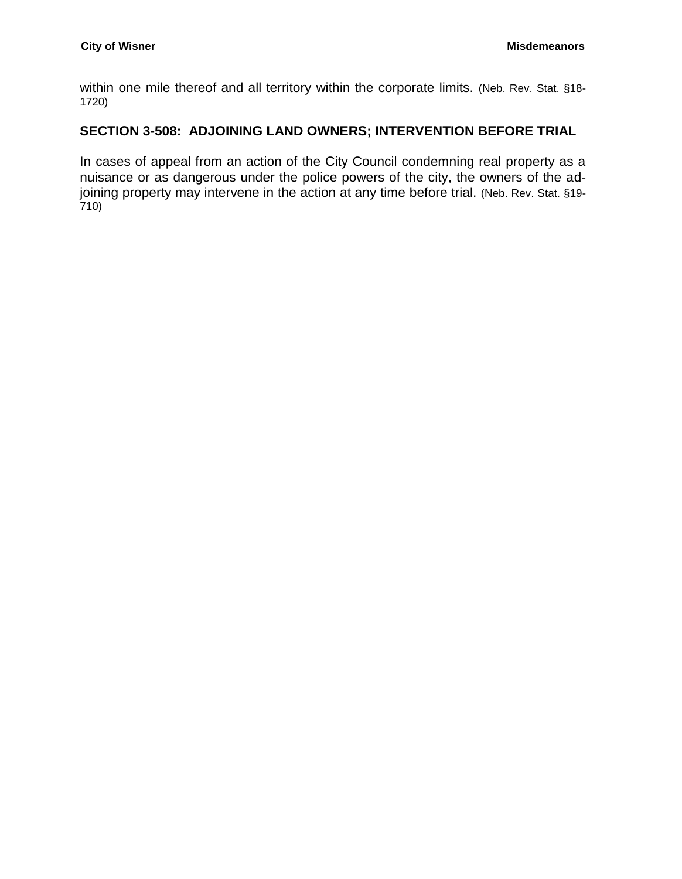within one mile thereof and all territory within the corporate limits. (Neb. Rev. Stat. §18-1720)

# <span id="page-37-0"></span>**SECTION 3-508: ADJOINING LAND OWNERS; INTERVENTION BEFORE TRIAL**

In cases of appeal from an action of the City Council condemning real property as a nuisance or as dangerous under the police powers of the city, the owners of the adjoining property may intervene in the action at any time before trial. (Neb. Rev. Stat. §19-710)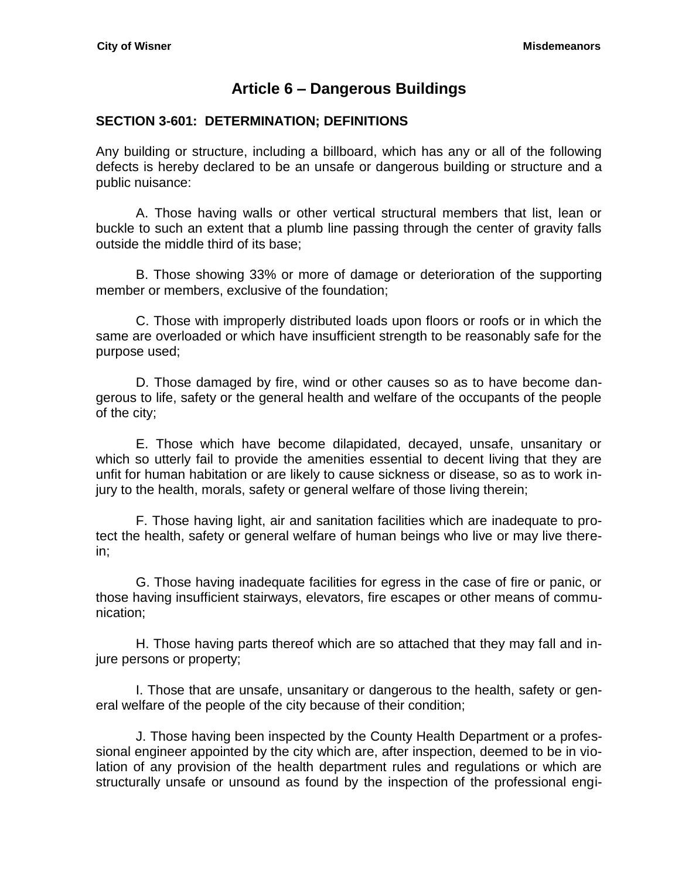# **Article 6 – Dangerous Buildings**

### <span id="page-38-1"></span><span id="page-38-0"></span>**SECTION 3-601: DETERMINATION; DEFINITIONS**

Any building or structure, including a billboard, which has any or all of the following defects is hereby declared to be an unsafe or dangerous building or structure and a public nuisance:

A. Those having walls or other vertical structural members that list, lean or buckle to such an extent that a plumb line passing through the center of gravity falls outside the middle third of its base;

B. Those showing 33% or more of damage or deterioration of the supporting member or members, exclusive of the foundation;

C. Those with improperly distributed loads upon floors or roofs or in which the same are overloaded or which have insufficient strength to be reasonably safe for the purpose used;

D. Those damaged by fire, wind or other causes so as to have become dangerous to life, safety or the general health and welfare of the occupants of the people of the city;

E. Those which have become dilapidated, decayed, unsafe, unsanitary or which so utterly fail to provide the amenities essential to decent living that they are unfit for human habitation or are likely to cause sickness or disease, so as to work injury to the health, morals, safety or general welfare of those living therein;

F. Those having light, air and sanitation facilities which are inadequate to protect the health, safety or general welfare of human beings who live or may live therein;

G. Those having inadequate facilities for egress in the case of fire or panic, or those having insufficient stairways, elevators, fire escapes or other means of communication;

H. Those having parts thereof which are so attached that they may fall and injure persons or property;

I. Those that are unsafe, unsanitary or dangerous to the health, safety or general welfare of the people of the city because of their condition;

J. Those having been inspected by the County Health Department or a professional engineer appointed by the city which are, after inspection, deemed to be in violation of any provision of the health department rules and regulations or which are structurally unsafe or unsound as found by the inspection of the professional engi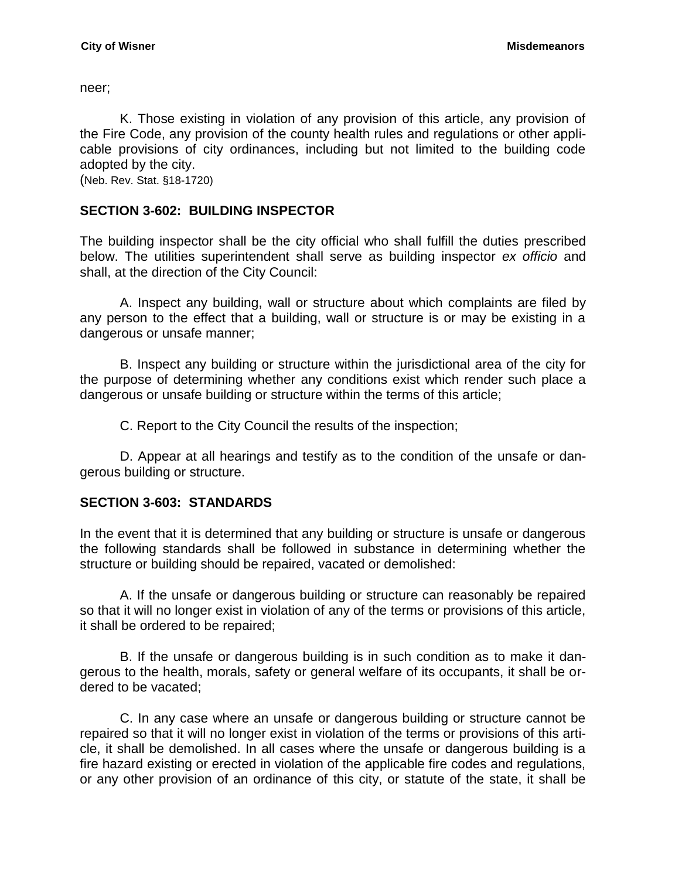neer;

K. Those existing in violation of any provision of this article, any provision of the Fire Code, any provision of the county health rules and regulations or other applicable provisions of city ordinances, including but not limited to the building code adopted by the city.

(Neb. Rev. Stat. §18-1720)

### <span id="page-39-0"></span>**SECTION 3-602: BUILDING INSPECTOR**

The building inspector shall be the city official who shall fulfill the duties prescribed below. The utilities superintendent shall serve as building inspector *ex officio* and shall, at the direction of the City Council:

A. Inspect any building, wall or structure about which complaints are filed by any person to the effect that a building, wall or structure is or may be existing in a dangerous or unsafe manner;

B. Inspect any building or structure within the jurisdictional area of the city for the purpose of determining whether any conditions exist which render such place a dangerous or unsafe building or structure within the terms of this article;

C. Report to the City Council the results of the inspection;

D. Appear at all hearings and testify as to the condition of the unsafe or dangerous building or structure.

# <span id="page-39-1"></span>**SECTION 3-603: STANDARDS**

In the event that it is determined that any building or structure is unsafe or dangerous the following standards shall be followed in substance in determining whether the structure or building should be repaired, vacated or demolished:

A. If the unsafe or dangerous building or structure can reasonably be repaired so that it will no longer exist in violation of any of the terms or provisions of this article, it shall be ordered to be repaired;

B. If the unsafe or dangerous building is in such condition as to make it dangerous to the health, morals, safety or general welfare of its occupants, it shall be ordered to be vacated;

C. In any case where an unsafe or dangerous building or structure cannot be repaired so that it will no longer exist in violation of the terms or provisions of this article, it shall be demolished. In all cases where the unsafe or dangerous building is a fire hazard existing or erected in violation of the applicable fire codes and regulations, or any other provision of an ordinance of this city, or statute of the state, it shall be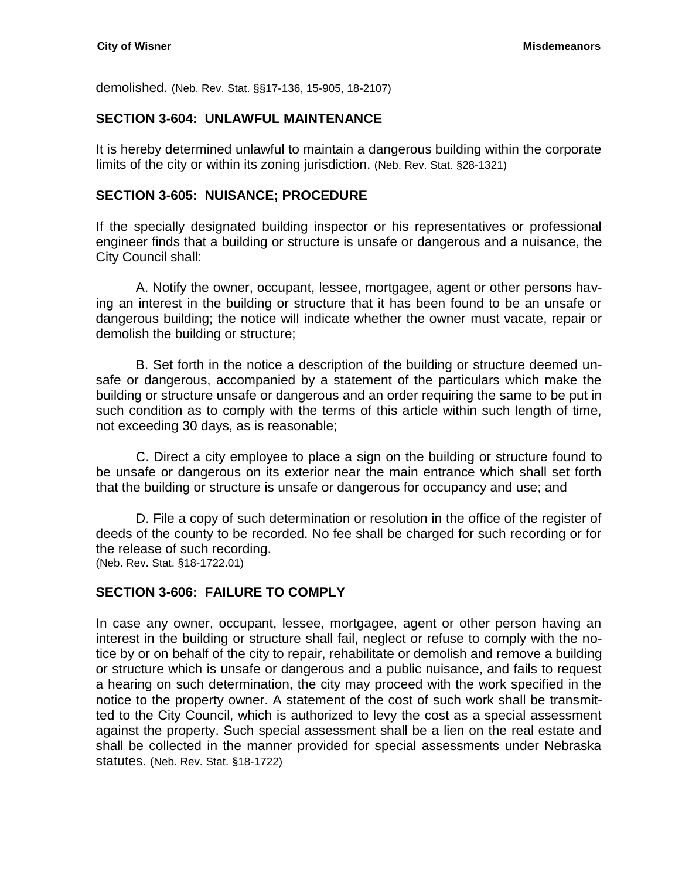demolished. (Neb. Rev. Stat. §§17-136, 15-905, 18-2107)

### <span id="page-40-0"></span>**SECTION 3-604: UNLAWFUL MAINTENANCE**

It is hereby determined unlawful to maintain a dangerous building within the corporate limits of the city or within its zoning jurisdiction. (Neb. Rev. Stat. §28-1321)

### <span id="page-40-1"></span>**SECTION 3-605: NUISANCE; PROCEDURE**

If the specially designated building inspector or his representatives or professional engineer finds that a building or structure is unsafe or dangerous and a nuisance, the City Council shall:

A. Notify the owner, occupant, lessee, mortgagee, agent or other persons having an interest in the building or structure that it has been found to be an unsafe or dangerous building; the notice will indicate whether the owner must vacate, repair or demolish the building or structure;

B. Set forth in the notice a description of the building or structure deemed unsafe or dangerous, accompanied by a statement of the particulars which make the building or structure unsafe or dangerous and an order requiring the same to be put in such condition as to comply with the terms of this article within such length of time, not exceeding 30 days, as is reasonable;

C. Direct a city employee to place a sign on the building or structure found to be unsafe or dangerous on its exterior near the main entrance which shall set forth that the building or structure is unsafe or dangerous for occupancy and use; and

D. File a copy of such determination or resolution in the office of the register of deeds of the county to be recorded. No fee shall be charged for such recording or for the release of such recording. (Neb. Rev. Stat. §18-1722.01)

### <span id="page-40-2"></span>**SECTION 3-606: FAILURE TO COMPLY**

In case any owner, occupant, lessee, mortgagee, agent or other person having an interest in the building or structure shall fail, neglect or refuse to comply with the notice by or on behalf of the city to repair, rehabilitate or demolish and remove a building or structure which is unsafe or dangerous and a public nuisance, and fails to request a hearing on such determination, the city may proceed with the work specified in the notice to the property owner. A statement of the cost of such work shall be transmitted to the City Council, which is authorized to levy the cost as a special assessment against the property. Such special assessment shall be a lien on the real estate and shall be collected in the manner provided for special assessments under Nebraska statutes. (Neb. Rev. Stat. §18-1722)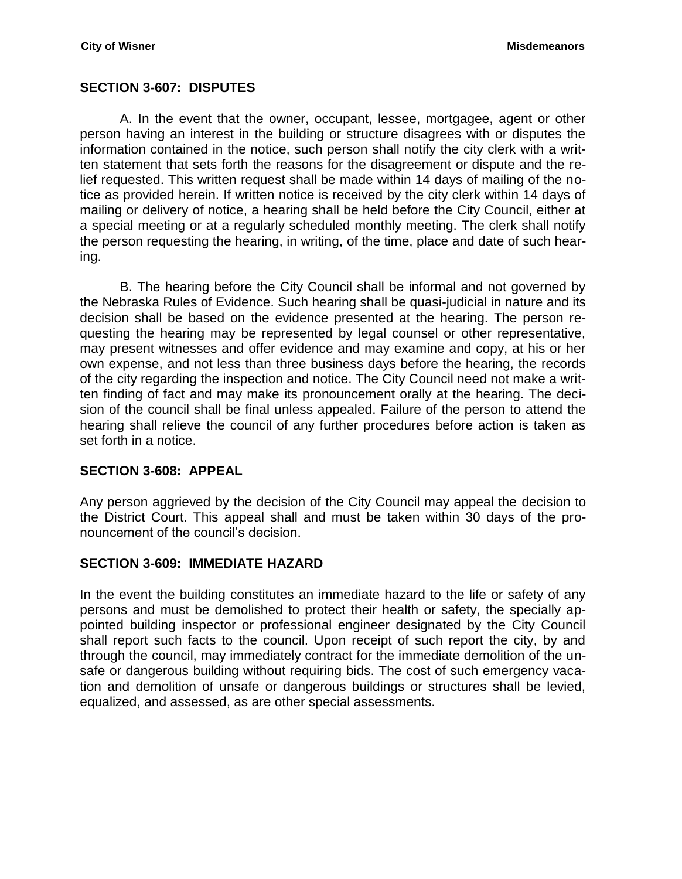### <span id="page-41-0"></span>**SECTION 3-607: DISPUTES**

A. In the event that the owner, occupant, lessee, mortgagee, agent or other person having an interest in the building or structure disagrees with or disputes the information contained in the notice, such person shall notify the city clerk with a written statement that sets forth the reasons for the disagreement or dispute and the relief requested. This written request shall be made within 14 days of mailing of the notice as provided herein. If written notice is received by the city clerk within 14 days of mailing or delivery of notice, a hearing shall be held before the City Council, either at a special meeting or at a regularly scheduled monthly meeting. The clerk shall notify the person requesting the hearing, in writing, of the time, place and date of such hearing.

B. The hearing before the City Council shall be informal and not governed by the Nebraska Rules of Evidence. Such hearing shall be quasi-judicial in nature and its decision shall be based on the evidence presented at the hearing. The person requesting the hearing may be represented by legal counsel or other representative, may present witnesses and offer evidence and may examine and copy, at his or her own expense, and not less than three business days before the hearing, the records of the city regarding the inspection and notice. The City Council need not make a written finding of fact and may make its pronouncement orally at the hearing. The decision of the council shall be final unless appealed. Failure of the person to attend the hearing shall relieve the council of any further procedures before action is taken as set forth in a notice.

### <span id="page-41-1"></span>**SECTION 3-608: APPEAL**

Any person aggrieved by the decision of the City Council may appeal the decision to the District Court. This appeal shall and must be taken within 30 days of the pronouncement of the council's decision.

### <span id="page-41-2"></span>**SECTION 3-609: IMMEDIATE HAZARD**

In the event the building constitutes an immediate hazard to the life or safety of any persons and must be demolished to protect their health or safety, the specially appointed building inspector or professional engineer designated by the City Council shall report such facts to the council. Upon receipt of such report the city, by and through the council, may immediately contract for the immediate demolition of the unsafe or dangerous building without requiring bids. The cost of such emergency vacation and demolition of unsafe or dangerous buildings or structures shall be levied, equalized, and assessed, as are other special assessments.